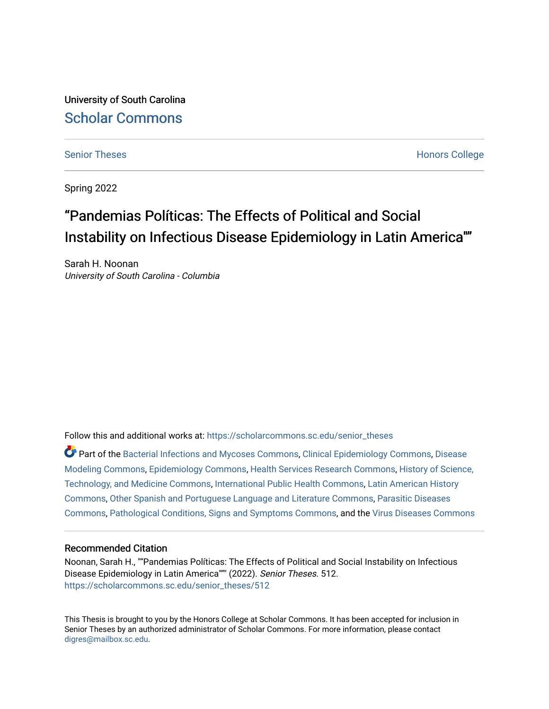University of South Carolina [Scholar Commons](https://scholarcommons.sc.edu/) 

[Senior Theses](https://scholarcommons.sc.edu/senior_theses) **Honors College** [Honors College](https://scholarcommons.sc.edu/honors_college) **Honors College** 

Spring 2022

# "Pandemias Políticas: The Effects of Political and Social Instability on Infectious Disease Epidemiology in Latin America""

Sarah H. Noonan University of South Carolina - Columbia

Follow this and additional works at: [https://scholarcommons.sc.edu/senior\\_theses](https://scholarcommons.sc.edu/senior_theses?utm_source=scholarcommons.sc.edu%2Fsenior_theses%2F512&utm_medium=PDF&utm_campaign=PDFCoverPages) 

Part of the [Bacterial Infections and Mycoses Commons](http://network.bepress.com/hgg/discipline/966?utm_source=scholarcommons.sc.edu%2Fsenior_theses%2F512&utm_medium=PDF&utm_campaign=PDFCoverPages), [Clinical Epidemiology Commons](http://network.bepress.com/hgg/discipline/815?utm_source=scholarcommons.sc.edu%2Fsenior_theses%2F512&utm_medium=PDF&utm_campaign=PDFCoverPages), [Disease](http://network.bepress.com/hgg/discipline/814?utm_source=scholarcommons.sc.edu%2Fsenior_theses%2F512&utm_medium=PDF&utm_campaign=PDFCoverPages)  [Modeling Commons,](http://network.bepress.com/hgg/discipline/814?utm_source=scholarcommons.sc.edu%2Fsenior_theses%2F512&utm_medium=PDF&utm_campaign=PDFCoverPages) [Epidemiology Commons](http://network.bepress.com/hgg/discipline/740?utm_source=scholarcommons.sc.edu%2Fsenior_theses%2F512&utm_medium=PDF&utm_campaign=PDFCoverPages), [Health Services Research Commons](http://network.bepress.com/hgg/discipline/816?utm_source=scholarcommons.sc.edu%2Fsenior_theses%2F512&utm_medium=PDF&utm_campaign=PDFCoverPages), [History of Science,](http://network.bepress.com/hgg/discipline/500?utm_source=scholarcommons.sc.edu%2Fsenior_theses%2F512&utm_medium=PDF&utm_campaign=PDFCoverPages) [Technology, and Medicine Commons](http://network.bepress.com/hgg/discipline/500?utm_source=scholarcommons.sc.edu%2Fsenior_theses%2F512&utm_medium=PDF&utm_campaign=PDFCoverPages), [International Public Health Commons,](http://network.bepress.com/hgg/discipline/746?utm_source=scholarcommons.sc.edu%2Fsenior_theses%2F512&utm_medium=PDF&utm_campaign=PDFCoverPages) [Latin American History](http://network.bepress.com/hgg/discipline/494?utm_source=scholarcommons.sc.edu%2Fsenior_theses%2F512&utm_medium=PDF&utm_campaign=PDFCoverPages)  [Commons](http://network.bepress.com/hgg/discipline/494?utm_source=scholarcommons.sc.edu%2Fsenior_theses%2F512&utm_medium=PDF&utm_campaign=PDFCoverPages), [Other Spanish and Portuguese Language and Literature Commons,](http://network.bepress.com/hgg/discipline/551?utm_source=scholarcommons.sc.edu%2Fsenior_theses%2F512&utm_medium=PDF&utm_campaign=PDFCoverPages) [Parasitic Diseases](http://network.bepress.com/hgg/discipline/983?utm_source=scholarcommons.sc.edu%2Fsenior_theses%2F512&utm_medium=PDF&utm_campaign=PDFCoverPages)  [Commons](http://network.bepress.com/hgg/discipline/983?utm_source=scholarcommons.sc.edu%2Fsenior_theses%2F512&utm_medium=PDF&utm_campaign=PDFCoverPages), [Pathological Conditions, Signs and Symptoms Commons](http://network.bepress.com/hgg/discipline/1004?utm_source=scholarcommons.sc.edu%2Fsenior_theses%2F512&utm_medium=PDF&utm_campaign=PDFCoverPages), and the [Virus Diseases Commons](http://network.bepress.com/hgg/discipline/998?utm_source=scholarcommons.sc.edu%2Fsenior_theses%2F512&utm_medium=PDF&utm_campaign=PDFCoverPages) 

# Recommended Citation

Noonan, Sarah H., ""Pandemias Políticas: The Effects of Political and Social Instability on Infectious Disease Epidemiology in Latin America""" (2022). Senior Theses. 512. [https://scholarcommons.sc.edu/senior\\_theses/512](https://scholarcommons.sc.edu/senior_theses/512?utm_source=scholarcommons.sc.edu%2Fsenior_theses%2F512&utm_medium=PDF&utm_campaign=PDFCoverPages) 

This Thesis is brought to you by the Honors College at Scholar Commons. It has been accepted for inclusion in Senior Theses by an authorized administrator of Scholar Commons. For more information, please contact [digres@mailbox.sc.edu](mailto:digres@mailbox.sc.edu).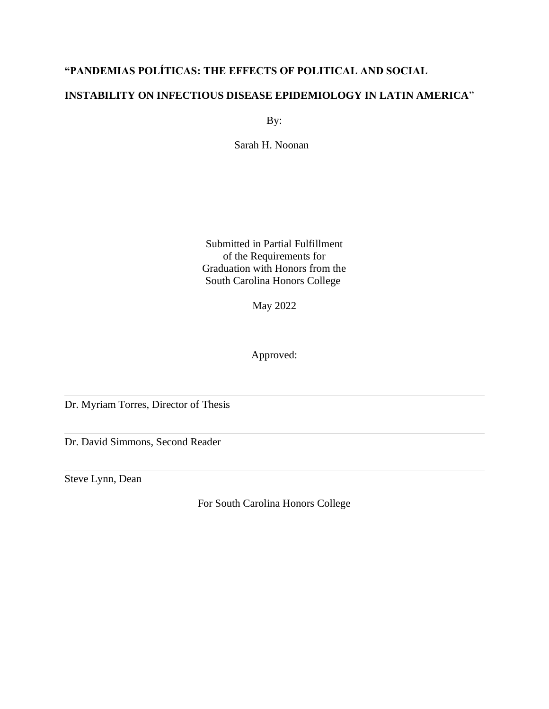# **"PANDEMIAS POLÍTICAS: THE EFFECTS OF POLITICAL AND SOCIAL**

# **INSTABILITY ON INFECTIOUS DISEASE EPIDEMIOLOGY IN LATIN AMERICA**"

By:

Sarah H. Noonan

Submitted in Partial Fulfillment of the Requirements for Graduation with Honors from the South Carolina Honors College

May 2022

Approved:

Dr. Myriam Torres, Director of Thesis

Dr. David Simmons, Second Reader

Steve Lynn, Dean

For South Carolina Honors College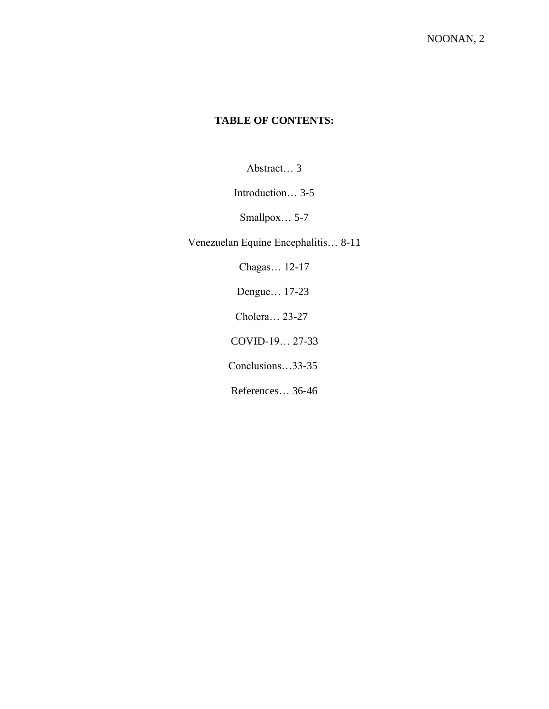# **TABLE OF CONTENTS:**

Abstract… 3

Introduction… 3-5

Smallpox… 5-7

Venezuelan Equine Encephalitis… 8-11

Chagas… 12-17

Dengue… 17-23

Cholera… 23-27

COVID-19… 27-33

Conclusions…33-35

References… 36-46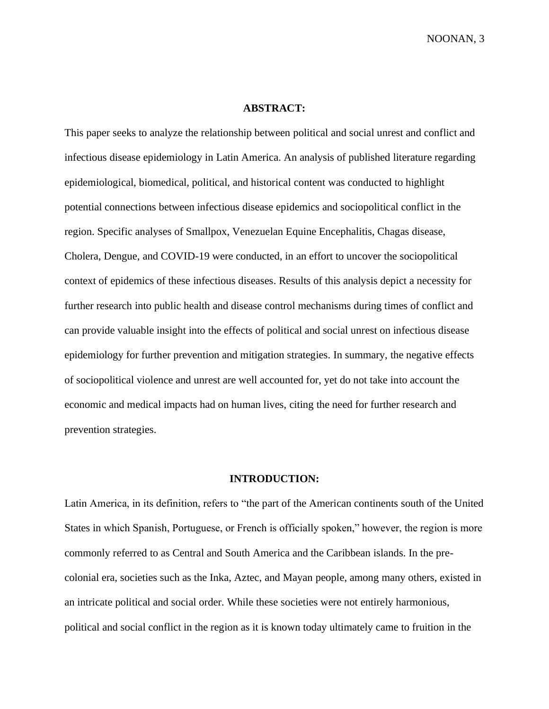# **ABSTRACT:**

This paper seeks to analyze the relationship between political and social unrest and conflict and infectious disease epidemiology in Latin America. An analysis of published literature regarding epidemiological, biomedical, political, and historical content was conducted to highlight potential connections between infectious disease epidemics and sociopolitical conflict in the region. Specific analyses of Smallpox, Venezuelan Equine Encephalitis, Chagas disease, Cholera, Dengue, and COVID-19 were conducted, in an effort to uncover the sociopolitical context of epidemics of these infectious diseases. Results of this analysis depict a necessity for further research into public health and disease control mechanisms during times of conflict and can provide valuable insight into the effects of political and social unrest on infectious disease epidemiology for further prevention and mitigation strategies. In summary, the negative effects of sociopolitical violence and unrest are well accounted for, yet do not take into account the economic and medical impacts had on human lives, citing the need for further research and prevention strategies.

# **INTRODUCTION:**

Latin America, in its definition, refers to "the part of the American continents south of the United States in which Spanish, Portuguese, or French is officially spoken," however, the region is more commonly referred to as Central and South America and the Caribbean islands. In the precolonial era, societies such as the Inka, Aztec, and Mayan people, among many others, existed in an intricate political and social order. While these societies were not entirely harmonious, political and social conflict in the region as it is known today ultimately came to fruition in the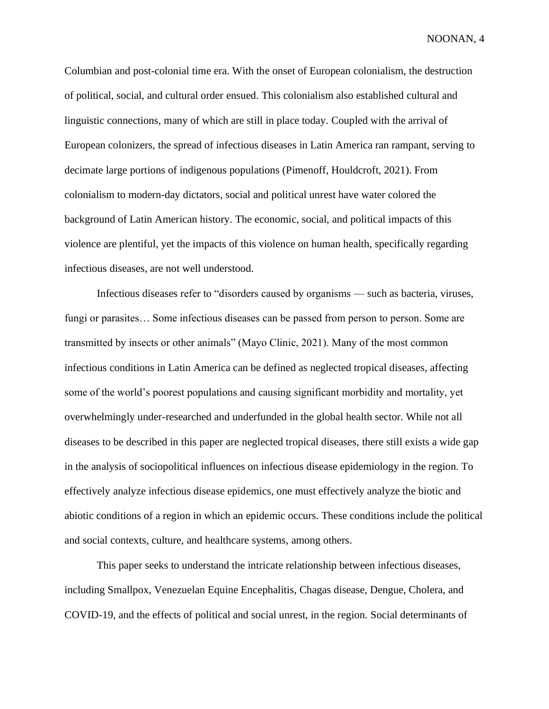Columbian and post-colonial time era. With the onset of European colonialism, the destruction of political, social, and cultural order ensued. This colonialism also established cultural and linguistic connections, many of which are still in place today. Coupled with the arrival of European colonizers, the spread of infectious diseases in Latin America ran rampant, serving to decimate large portions of indigenous populations (Pimenoff, Houldcroft, 2021). From colonialism to modern-day dictators, social and political unrest have water colored the background of Latin American history. The economic, social, and political impacts of this violence are plentiful, yet the impacts of this violence on human health, specifically regarding infectious diseases, are not well understood.

 Infectious diseases refer to "disorders caused by organisms — such as bacteria, viruses, fungi or parasites… Some infectious diseases can be passed from person to person. Some are transmitted by insects or other animals" (Mayo Clinic, 2021). Many of the most common infectious conditions in Latin America can be defined as neglected tropical diseases, affecting some of the world's poorest populations and causing significant morbidity and mortality, yet overwhelmingly under-researched and underfunded in the global health sector. While not all diseases to be described in this paper are neglected tropical diseases, there still exists a wide gap in the analysis of sociopolitical influences on infectious disease epidemiology in the region. To effectively analyze infectious disease epidemics, one must effectively analyze the biotic and abiotic conditions of a region in which an epidemic occurs. These conditions include the political and social contexts, culture, and healthcare systems, among others.

This paper seeks to understand the intricate relationship between infectious diseases, including Smallpox, Venezuelan Equine Encephalitis, Chagas disease, Dengue, Cholera, and COVID-19, and the effects of political and social unrest, in the region. Social determinants of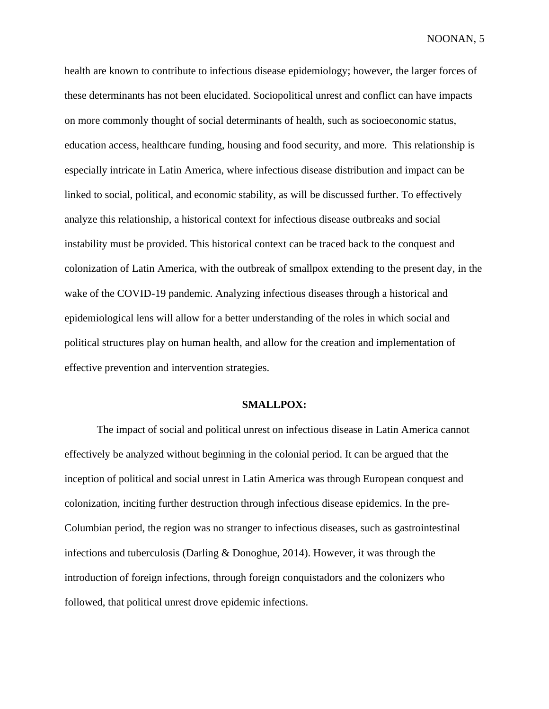health are known to contribute to infectious disease epidemiology; however, the larger forces of these determinants has not been elucidated. Sociopolitical unrest and conflict can have impacts on more commonly thought of social determinants of health, such as socioeconomic status, education access, healthcare funding, housing and food security, and more. This relationship is especially intricate in Latin America, where infectious disease distribution and impact can be linked to social, political, and economic stability, as will be discussed further. To effectively analyze this relationship, a historical context for infectious disease outbreaks and social instability must be provided. This historical context can be traced back to the conquest and colonization of Latin America, with the outbreak of smallpox extending to the present day, in the wake of the COVID-19 pandemic. Analyzing infectious diseases through a historical and epidemiological lens will allow for a better understanding of the roles in which social and political structures play on human health, and allow for the creation and implementation of effective prevention and intervention strategies.

#### **SMALLPOX:**

The impact of social and political unrest on infectious disease in Latin America cannot effectively be analyzed without beginning in the colonial period. It can be argued that the inception of political and social unrest in Latin America was through European conquest and colonization, inciting further destruction through infectious disease epidemics. In the pre-Columbian period, the region was no stranger to infectious diseases, such as gastrointestinal infections and tuberculosis (Darling & Donoghue, 2014). However, it was through the introduction of foreign infections, through foreign conquistadors and the colonizers who followed, that political unrest drove epidemic infections.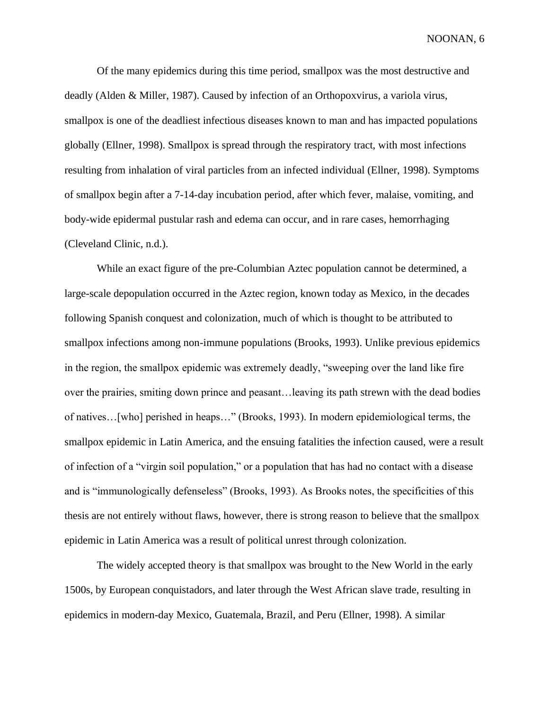Of the many epidemics during this time period, smallpox was the most destructive and deadly (Alden & Miller, 1987). Caused by infection of an Orthopoxvirus, a variola virus, smallpox is one of the deadliest infectious diseases known to man and has impacted populations globally (Ellner, 1998). Smallpox is spread through the respiratory tract, with most infections resulting from inhalation of viral particles from an infected individual (Ellner, 1998). Symptoms of smallpox begin after a 7-14-day incubation period, after which fever, malaise, vomiting, and body-wide epidermal pustular rash and edema can occur, and in rare cases, hemorrhaging (Cleveland Clinic, n.d.).

While an exact figure of the pre-Columbian Aztec population cannot be determined, a large-scale depopulation occurred in the Aztec region, known today as Mexico, in the decades following Spanish conquest and colonization, much of which is thought to be attributed to smallpox infections among non-immune populations (Brooks, 1993). Unlike previous epidemics in the region, the smallpox epidemic was extremely deadly, "sweeping over the land like fire over the prairies, smiting down prince and peasant…leaving its path strewn with the dead bodies of natives…[who] perished in heaps…" (Brooks, 1993). In modern epidemiological terms, the smallpox epidemic in Latin America, and the ensuing fatalities the infection caused, were a result of infection of a "virgin soil population," or a population that has had no contact with a disease and is "immunologically defenseless" (Brooks, 1993). As Brooks notes, the specificities of this thesis are not entirely without flaws, however, there is strong reason to believe that the smallpox epidemic in Latin America was a result of political unrest through colonization.

The widely accepted theory is that smallpox was brought to the New World in the early 1500s, by European conquistadors, and later through the West African slave trade, resulting in epidemics in modern-day Mexico, Guatemala, Brazil, and Peru (Ellner, 1998). A similar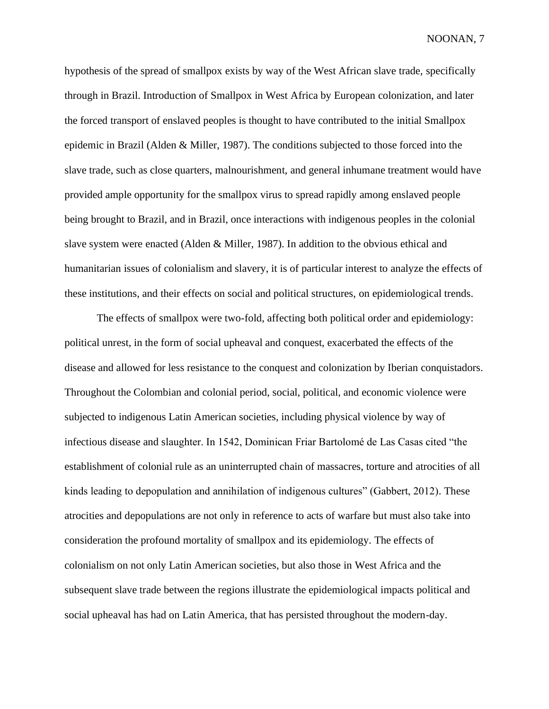hypothesis of the spread of smallpox exists by way of the West African slave trade, specifically through in Brazil. Introduction of Smallpox in West Africa by European colonization, and later the forced transport of enslaved peoples is thought to have contributed to the initial Smallpox epidemic in Brazil (Alden & Miller, 1987). The conditions subjected to those forced into the slave trade, such as close quarters, malnourishment, and general inhumane treatment would have provided ample opportunity for the smallpox virus to spread rapidly among enslaved people being brought to Brazil, and in Brazil, once interactions with indigenous peoples in the colonial slave system were enacted (Alden & Miller, 1987). In addition to the obvious ethical and humanitarian issues of colonialism and slavery, it is of particular interest to analyze the effects of these institutions, and their effects on social and political structures, on epidemiological trends.

The effects of smallpox were two-fold, affecting both political order and epidemiology: political unrest, in the form of social upheaval and conquest, exacerbated the effects of the disease and allowed for less resistance to the conquest and colonization by Iberian conquistadors. Throughout the Colombian and colonial period, social, political, and economic violence were subjected to indigenous Latin American societies, including physical violence by way of infectious disease and slaughter. In 1542, Dominican Friar Bartolomé de Las Casas cited "the establishment of colonial rule as an uninterrupted chain of massacres, torture and atrocities of all kinds leading to depopulation and annihilation of indigenous cultures" (Gabbert, 2012). These atrocities and depopulations are not only in reference to acts of warfare but must also take into consideration the profound mortality of smallpox and its epidemiology. The effects of colonialism on not only Latin American societies, but also those in West Africa and the subsequent slave trade between the regions illustrate the epidemiological impacts political and social upheaval has had on Latin America, that has persisted throughout the modern-day.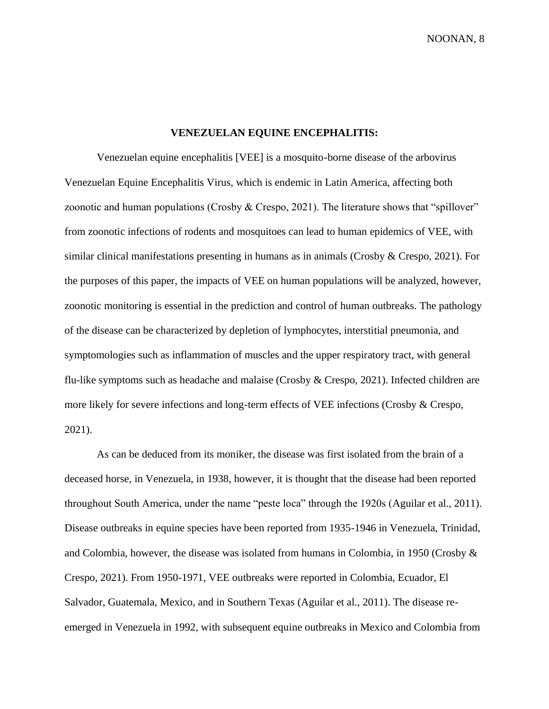# **VENEZUELAN EQUINE ENCEPHALITIS:**

Venezuelan equine encephalitis [VEE] is a mosquito-borne disease of the arbovirus Venezuelan Equine Encephalitis Virus, which is endemic in Latin America, affecting both zoonotic and human populations (Crosby & Crespo, 2021). The literature shows that "spillover" from zoonotic infections of rodents and mosquitoes can lead to human epidemics of VEE, with similar clinical manifestations presenting in humans as in animals (Crosby & Crespo, 2021). For the purposes of this paper, the impacts of VEE on human populations will be analyzed, however, zoonotic monitoring is essential in the prediction and control of human outbreaks. The pathology of the disease can be characterized by depletion of lymphocytes, interstitial pneumonia, and symptomologies such as inflammation of muscles and the upper respiratory tract, with general flu-like symptoms such as headache and malaise (Crosby & Crespo, 2021). Infected children are more likely for severe infections and long-term effects of VEE infections (Crosby & Crespo, 2021).

As can be deduced from its moniker, the disease was first isolated from the brain of a deceased horse, in Venezuela, in 1938, however, it is thought that the disease had been reported throughout South America, under the name "peste loca" through the 1920s (Aguilar et al., 2011). Disease outbreaks in equine species have been reported from 1935-1946 in Venezuela, Trinidad, and Colombia, however, the disease was isolated from humans in Colombia, in 1950 (Crosby & Crespo, 2021). From 1950-1971, VEE outbreaks were reported in Colombia, Ecuador, El Salvador, Guatemala, Mexico, and in Southern Texas (Aguilar et al., 2011). The disease reemerged in Venezuela in 1992, with subsequent equine outbreaks in Mexico and Colombia from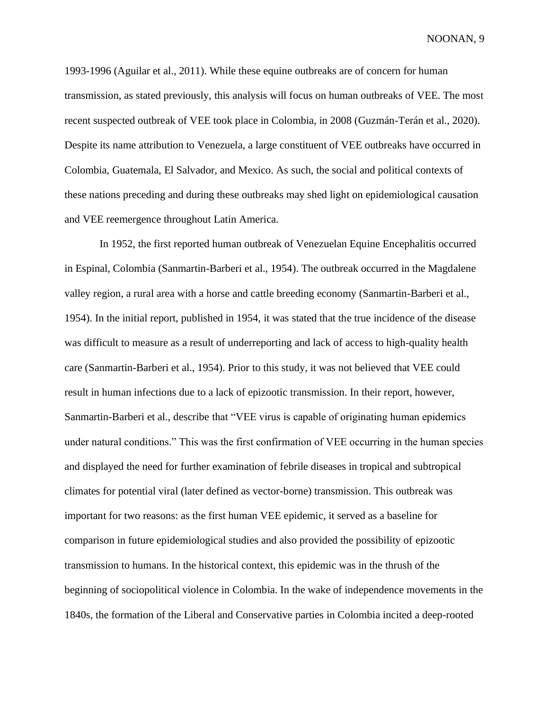1993-1996 (Aguilar et al., 2011). While these equine outbreaks are of concern for human transmission, as stated previously, this analysis will focus on human outbreaks of VEE. The most recent suspected outbreak of VEE took place in Colombia, in 2008 (Guzmán-Terán et al., 2020). Despite its name attribution to Venezuela, a large constituent of VEE outbreaks have occurred in Colombia, Guatemala, El Salvador, and Mexico. As such, the social and political contexts of these nations preceding and during these outbreaks may shed light on epidemiological causation and VEE reemergence throughout Latin America.

 In 1952, the first reported human outbreak of Venezuelan Equine Encephalitis occurred in Espinal, Colombia (Sanmartin-Barberi et al., 1954). The outbreak occurred in the Magdalene valley region, a rural area with a horse and cattle breeding economy (Sanmartin-Barberi et al., 1954). In the initial report, published in 1954, it was stated that the true incidence of the disease was difficult to measure as a result of underreporting and lack of access to high-quality health care (Sanmartin-Barberi et al., 1954). Prior to this study, it was not believed that VEE could result in human infections due to a lack of epizootic transmission. In their report, however, Sanmartin-Barberi et al., describe that "VEE virus is capable of originating human epidemics under natural conditions." This was the first confirmation of VEE occurring in the human species and displayed the need for further examination of febrile diseases in tropical and subtropical climates for potential viral (later defined as vector-borne) transmission. This outbreak was important for two reasons: as the first human VEE epidemic, it served as a baseline for comparison in future epidemiological studies and also provided the possibility of epizootic transmission to humans. In the historical context, this epidemic was in the thrush of the beginning of sociopolitical violence in Colombia. In the wake of independence movements in the 1840s, the formation of the Liberal and Conservative parties in Colombia incited a deep-rooted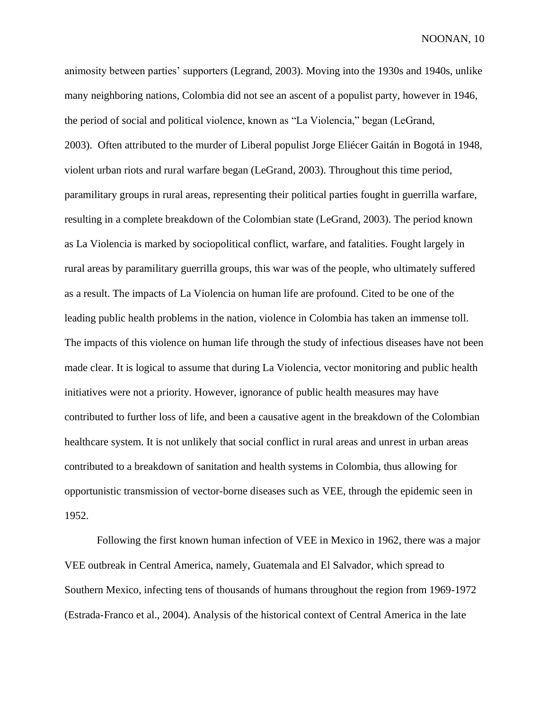animosity between parties' supporters (Legrand, 2003). Moving into the 1930s and 1940s, unlike many neighboring nations, Colombia did not see an ascent of a populist party, however in 1946, the period of social and political violence, known as "La Violencia," began (LeGrand, 2003). Often attributed to the murder of Liberal populist Jorge Eliécer Gaitán in Bogotá in 1948, violent urban riots and rural warfare began (LeGrand, 2003). Throughout this time period, paramilitary groups in rural areas, representing their political parties fought in guerrilla warfare, resulting in a complete breakdown of the Colombian state (LeGrand, 2003). The period known as La Violencia is marked by sociopolitical conflict, warfare, and fatalities. Fought largely in rural areas by paramilitary guerrilla groups, this war was of the people, who ultimately suffered as a result. The impacts of La Violencia on human life are profound. Cited to be one of the leading public health problems in the nation, violence in Colombia has taken an immense toll. The impacts of this violence on human life through the study of infectious diseases have not been made clear. It is logical to assume that during La Violencia, vector monitoring and public health initiatives were not a priority. However, ignorance of public health measures may have contributed to further loss of life, and been a causative agent in the breakdown of the Colombian healthcare system. It is not unlikely that social conflict in rural areas and unrest in urban areas contributed to a breakdown of sanitation and health systems in Colombia, thus allowing for opportunistic transmission of vector-borne diseases such as VEE, through the epidemic seen in 1952.

Following the first known human infection of VEE in Mexico in 1962, there was a major VEE outbreak in Central America, namely, Guatemala and El Salvador, which spread to Southern Mexico, infecting tens of thousands of humans throughout the region from 1969-1972 (Estrada-Franco et al., 2004). Analysis of the historical context of Central America in the late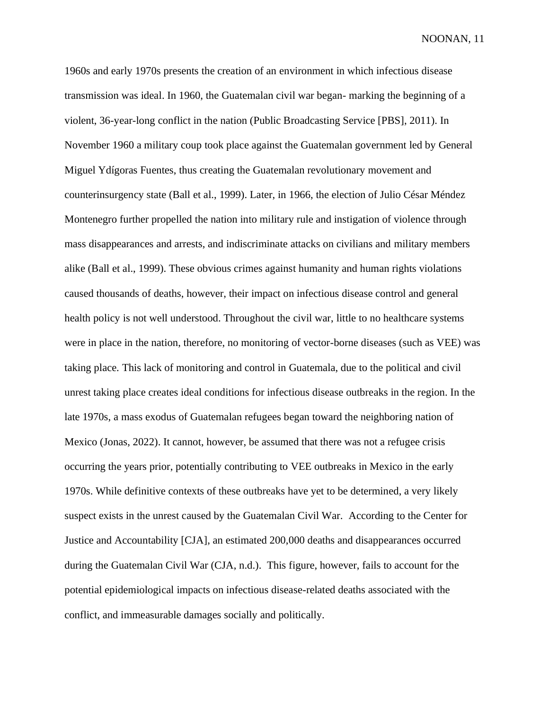1960s and early 1970s presents the creation of an environment in which infectious disease transmission was ideal. In 1960, the Guatemalan civil war began- marking the beginning of a violent, 36-year-long conflict in the nation (Public Broadcasting Service [PBS], 2011). In November 1960 a military coup took place against the Guatemalan government led by General Miguel Ydígoras Fuentes, thus creating the Guatemalan revolutionary movement and counterinsurgency state (Ball et al., 1999). Later, in 1966, the election of Julio César Méndez Montenegro further propelled the nation into military rule and instigation of violence through mass disappearances and arrests, and indiscriminate attacks on civilians and military members alike (Ball et al., 1999). These obvious crimes against humanity and human rights violations caused thousands of deaths, however, their impact on infectious disease control and general health policy is not well understood. Throughout the civil war, little to no healthcare systems were in place in the nation, therefore, no monitoring of vector-borne diseases (such as VEE) was taking place. This lack of monitoring and control in Guatemala, due to the political and civil unrest taking place creates ideal conditions for infectious disease outbreaks in the region. In the late 1970s, a mass exodus of Guatemalan refugees began toward the neighboring nation of Mexico (Jonas, 2022). It cannot, however, be assumed that there was not a refugee crisis occurring the years prior, potentially contributing to VEE outbreaks in Mexico in the early 1970s. While definitive contexts of these outbreaks have yet to be determined, a very likely suspect exists in the unrest caused by the Guatemalan Civil War. According to the Center for Justice and Accountability [CJA], an estimated 200,000 deaths and disappearances occurred during the Guatemalan Civil War (CJA, n.d.). This figure, however, fails to account for the potential epidemiological impacts on infectious disease-related deaths associated with the conflict, and immeasurable damages socially and politically.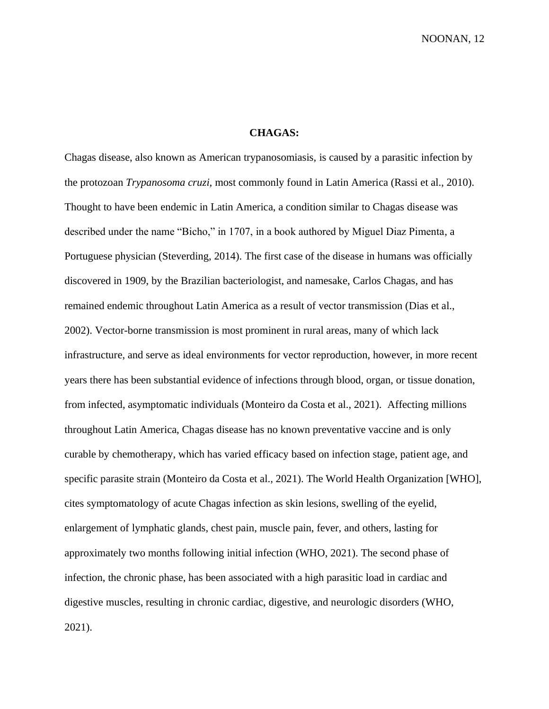# **CHAGAS:**

Chagas disease, also known as American trypanosomiasis, is caused by a parasitic infection by the protozoan *Trypanosoma cruzi,* most commonly found in Latin America (Rassi et al., 2010). Thought to have been endemic in Latin America, a condition similar to Chagas disease was described under the name "Bicho," in 1707, in a book authored by Miguel Diaz Pimenta, a Portuguese physician (Steverding, 2014). The first case of the disease in humans was officially discovered in 1909, by the Brazilian bacteriologist, and namesake, Carlos Chagas, and has remained endemic throughout Latin America as a result of vector transmission (Dias et al., 2002). Vector-borne transmission is most prominent in rural areas, many of which lack infrastructure, and serve as ideal environments for vector reproduction, however, in more recent years there has been substantial evidence of infections through blood, organ, or tissue donation, from infected, asymptomatic individuals (Monteiro da Costa et al., 2021). Affecting millions throughout Latin America, Chagas disease has no known preventative vaccine and is only curable by chemotherapy, which has varied efficacy based on infection stage, patient age, and specific parasite strain (Monteiro da Costa et al., 2021). The World Health Organization [WHO], cites symptomatology of acute Chagas infection as skin lesions, swelling of the eyelid, enlargement of lymphatic glands, chest pain, muscle pain, fever, and others, lasting for approximately two months following initial infection (WHO, 2021). The second phase of infection, the chronic phase, has been associated with a high parasitic load in cardiac and digestive muscles, resulting in chronic cardiac, digestive, and neurologic disorders (WHO, 2021).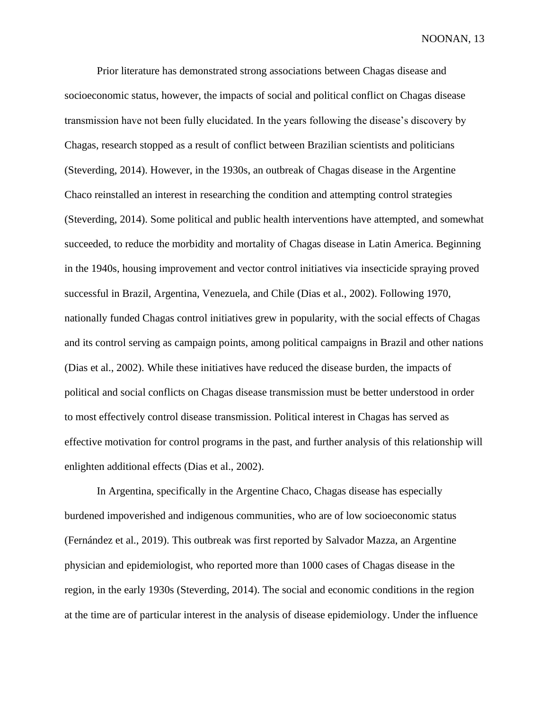Prior literature has demonstrated strong associations between Chagas disease and socioeconomic status, however, the impacts of social and political conflict on Chagas disease transmission have not been fully elucidated. In the years following the disease's discovery by Chagas, research stopped as a result of conflict between Brazilian scientists and politicians (Steverding, 2014). However, in the 1930s, an outbreak of Chagas disease in the Argentine Chaco reinstalled an interest in researching the condition and attempting control strategies (Steverding, 2014). Some political and public health interventions have attempted, and somewhat succeeded, to reduce the morbidity and mortality of Chagas disease in Latin America. Beginning in the 1940s, housing improvement and vector control initiatives via insecticide spraying proved successful in Brazil, Argentina, Venezuela, and Chile (Dias et al., 2002). Following 1970, nationally funded Chagas control initiatives grew in popularity, with the social effects of Chagas and its control serving as campaign points, among political campaigns in Brazil and other nations (Dias et al., 2002). While these initiatives have reduced the disease burden, the impacts of political and social conflicts on Chagas disease transmission must be better understood in order to most effectively control disease transmission. Political interest in Chagas has served as effective motivation for control programs in the past, and further analysis of this relationship will enlighten additional effects (Dias et al., 2002).

 In Argentina, specifically in the Argentine Chaco, Chagas disease has especially burdened impoverished and indigenous communities, who are of low socioeconomic status (Fernández et al., 2019). This outbreak was first reported by Salvador Mazza, an Argentine physician and epidemiologist, who reported more than 1000 cases of Chagas disease in the region, in the early 1930s (Steverding, 2014). The social and economic conditions in the region at the time are of particular interest in the analysis of disease epidemiology. Under the influence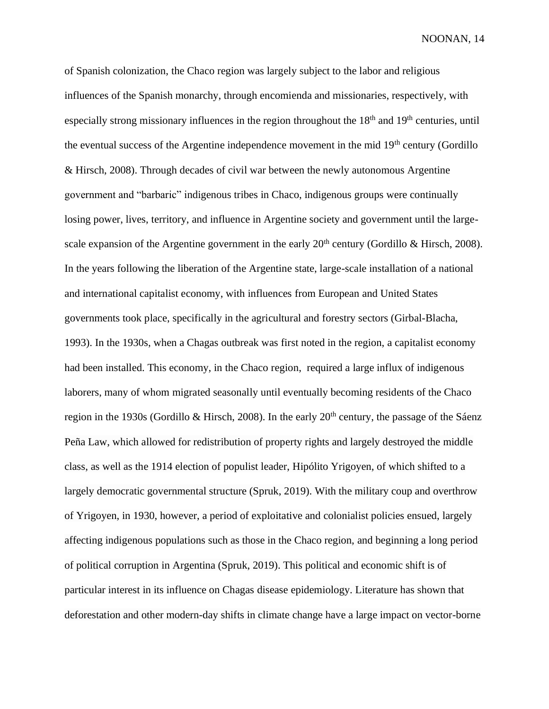of Spanish colonization, the Chaco region was largely subject to the labor and religious influences of the Spanish monarchy, through encomienda and missionaries, respectively, with especially strong missionary influences in the region throughout the 18<sup>th</sup> and 19<sup>th</sup> centuries, until the eventual success of the Argentine independence movement in the mid  $19<sup>th</sup>$  century (Gordillo & Hirsch, 2008). Through decades of civil war between the newly autonomous Argentine government and "barbaric" indigenous tribes in Chaco, indigenous groups were continually losing power, lives, territory, and influence in Argentine society and government until the largescale expansion of the Argentine government in the early  $20<sup>th</sup>$  century (Gordillo & Hirsch, 2008). In the years following the liberation of the Argentine state, large-scale installation of a national and international capitalist economy, with influences from European and United States governments took place, specifically in the agricultural and forestry sectors (Girbal-Blacha, 1993). In the 1930s, when a Chagas outbreak was first noted in the region, a capitalist economy had been installed. This economy, in the Chaco region, required a large influx of indigenous laborers, many of whom migrated seasonally until eventually becoming residents of the Chaco region in the 1930s (Gordillo & Hirsch, 2008). In the early 20th century, the passage of the Sáenz Peña Law, which allowed for redistribution of property rights and largely destroyed the middle class, as well as the 1914 election of populist leader, Hipólito Yrigoyen, of which shifted to a largely democratic governmental structure (Spruk, 2019). With the military coup and overthrow of Yrigoyen, in 1930, however, a period of exploitative and colonialist policies ensued, largely affecting indigenous populations such as those in the Chaco region, and beginning a long period of political corruption in Argentina (Spruk, 2019). This political and economic shift is of particular interest in its influence on Chagas disease epidemiology. Literature has shown that deforestation and other modern-day shifts in climate change have a large impact on vector-borne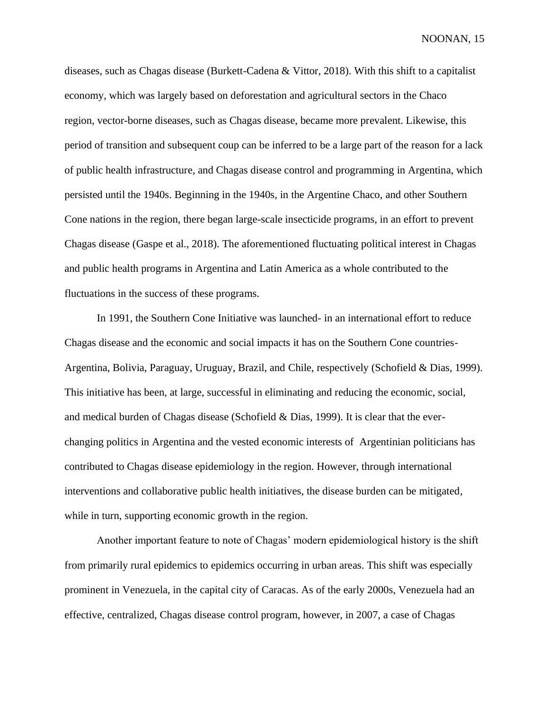diseases, such as Chagas disease (Burkett-Cadena & Vittor, 2018). With this shift to a capitalist economy, which was largely based on deforestation and agricultural sectors in the Chaco region, vector-borne diseases, such as Chagas disease, became more prevalent. Likewise, this period of transition and subsequent coup can be inferred to be a large part of the reason for a lack of public health infrastructure, and Chagas disease control and programming in Argentina, which persisted until the 1940s. Beginning in the 1940s, in the Argentine Chaco, and other Southern Cone nations in the region, there began large-scale insecticide programs, in an effort to prevent Chagas disease (Gaspe et al., 2018). The aforementioned fluctuating political interest in Chagas and public health programs in Argentina and Latin America as a whole contributed to the fluctuations in the success of these programs.

In 1991, the Southern Cone Initiative was launched- in an international effort to reduce Chagas disease and the economic and social impacts it has on the Southern Cone countries-Argentina, Bolivia, Paraguay, Uruguay, Brazil, and Chile, respectively (Schofield & Dias, 1999). This initiative has been, at large, successful in eliminating and reducing the economic, social, and medical burden of Chagas disease (Schofield & Dias, 1999). It is clear that the everchanging politics in Argentina and the vested economic interests of Argentinian politicians has contributed to Chagas disease epidemiology in the region. However, through international interventions and collaborative public health initiatives, the disease burden can be mitigated, while in turn, supporting economic growth in the region.

 Another important feature to note of Chagas' modern epidemiological history is the shift from primarily rural epidemics to epidemics occurring in urban areas. This shift was especially prominent in Venezuela, in the capital city of Caracas. As of the early 2000s, Venezuela had an effective, centralized, Chagas disease control program, however, in 2007, a case of Chagas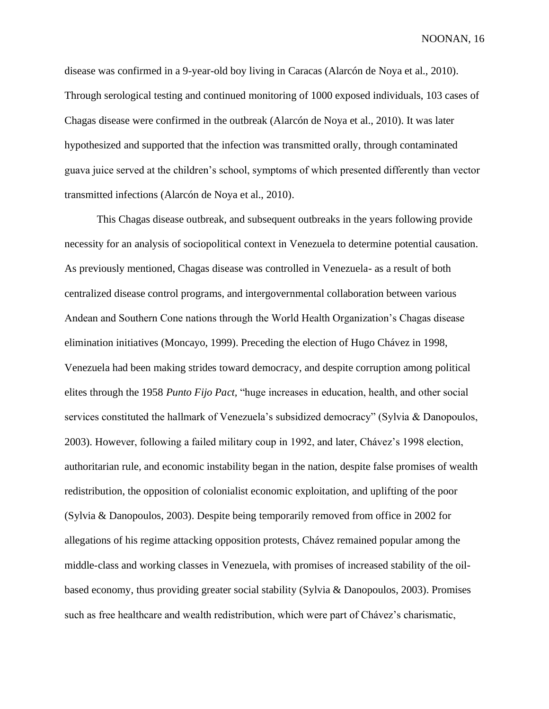disease was confirmed in a 9-year-old boy living in Caracas (Alarcón de Noya et al., 2010). Through serological testing and continued monitoring of 1000 exposed individuals, 103 cases of Chagas disease were confirmed in the outbreak (Alarcón de Noya et al., 2010). It was later hypothesized and supported that the infection was transmitted orally, through contaminated guava juice served at the children's school, symptoms of which presented differently than vector transmitted infections (Alarcón de Noya et al., 2010).

This Chagas disease outbreak, and subsequent outbreaks in the years following provide necessity for an analysis of sociopolitical context in Venezuela to determine potential causation. As previously mentioned, Chagas disease was controlled in Venezuela- as a result of both centralized disease control programs, and intergovernmental collaboration between various Andean and Southern Cone nations through the World Health Organization's Chagas disease elimination initiatives (Moncayo, 1999). Preceding the election of Hugo Chávez in 1998, Venezuela had been making strides toward democracy, and despite corruption among political elites through the 1958 *Punto Fijo Pact,* "huge increases in education, health, and other social services constituted the hallmark of Venezuela's subsidized democracy" (Sylvia & Danopoulos, 2003). However, following a failed military coup in 1992, and later, Chávez's 1998 election, authoritarian rule, and economic instability began in the nation, despite false promises of wealth redistribution, the opposition of colonialist economic exploitation, and uplifting of the poor (Sylvia & Danopoulos, 2003). Despite being temporarily removed from office in 2002 for allegations of his regime attacking opposition protests, Chávez remained popular among the middle-class and working classes in Venezuela, with promises of increased stability of the oilbased economy, thus providing greater social stability (Sylvia & Danopoulos, 2003). Promises such as free healthcare and wealth redistribution, which were part of Chávez's charismatic,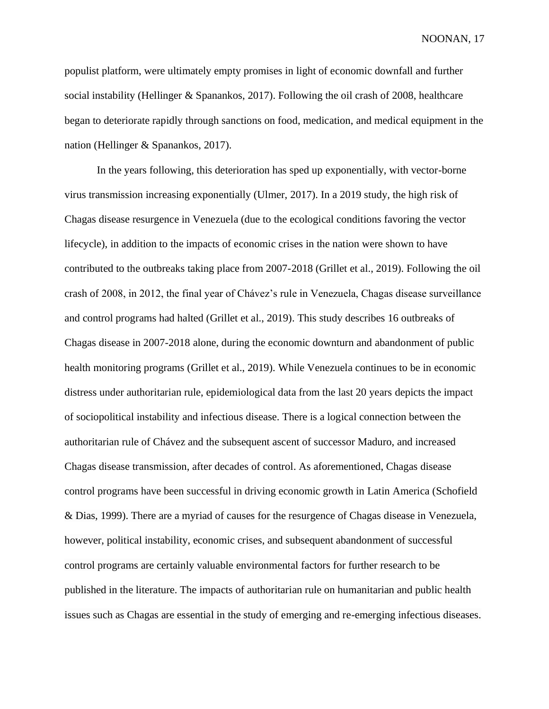populist platform, were ultimately empty promises in light of economic downfall and further social instability (Hellinger & Spanankos, 2017). Following the oil crash of 2008, healthcare began to deteriorate rapidly through sanctions on food, medication, and medical equipment in the nation (Hellinger & Spanankos, 2017).

In the years following, this deterioration has sped up exponentially, with vector-borne virus transmission increasing exponentially (Ulmer, 2017). In a 2019 study, the high risk of Chagas disease resurgence in Venezuela (due to the ecological conditions favoring the vector lifecycle), in addition to the impacts of economic crises in the nation were shown to have contributed to the outbreaks taking place from 2007-2018 (Grillet et al., 2019). Following the oil crash of 2008, in 2012, the final year of Chávez's rule in Venezuela, Chagas disease surveillance and control programs had halted (Grillet et al., 2019). This study describes 16 outbreaks of Chagas disease in 2007-2018 alone, during the economic downturn and abandonment of public health monitoring programs (Grillet et al., 2019). While Venezuela continues to be in economic distress under authoritarian rule, epidemiological data from the last 20 years depicts the impact of sociopolitical instability and infectious disease. There is a logical connection between the authoritarian rule of Chávez and the subsequent ascent of successor Maduro, and increased Chagas disease transmission, after decades of control. As aforementioned, Chagas disease control programs have been successful in driving economic growth in Latin America (Schofield & Dias, 1999). There are a myriad of causes for the resurgence of Chagas disease in Venezuela, however, political instability, economic crises, and subsequent abandonment of successful control programs are certainly valuable environmental factors for further research to be published in the literature. The impacts of authoritarian rule on humanitarian and public health issues such as Chagas are essential in the study of emerging and re-emerging infectious diseases.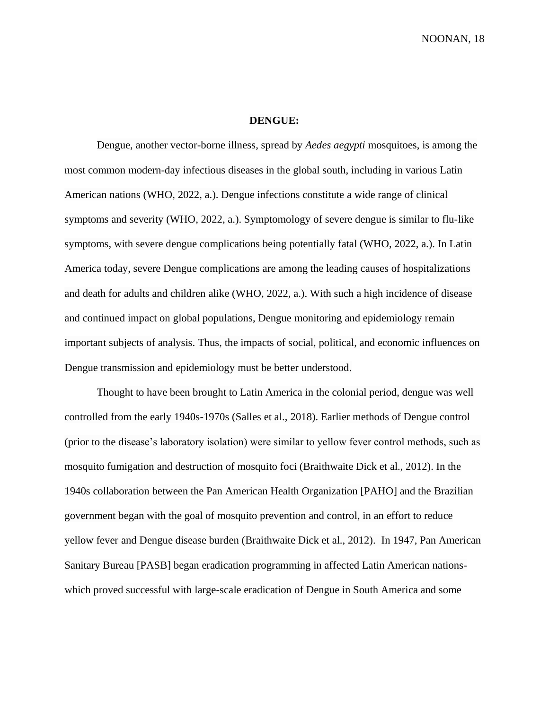### **DENGUE:**

Dengue, another vector-borne illness, spread by *Aedes aegypti* mosquitoes, is among the most common modern-day infectious diseases in the global south, including in various Latin American nations (WHO, 2022, a.). Dengue infections constitute a wide range of clinical symptoms and severity (WHO, 2022, a.). Symptomology of severe dengue is similar to flu-like symptoms, with severe dengue complications being potentially fatal (WHO, 2022, a.). In Latin America today, severe Dengue complications are among the leading causes of hospitalizations and death for adults and children alike (WHO, 2022, a.). With such a high incidence of disease and continued impact on global populations, Dengue monitoring and epidemiology remain important subjects of analysis. Thus, the impacts of social, political, and economic influences on Dengue transmission and epidemiology must be better understood.

Thought to have been brought to Latin America in the colonial period, dengue was well controlled from the early 1940s-1970s (Salles et al., 2018). Earlier methods of Dengue control (prior to the disease's laboratory isolation) were similar to yellow fever control methods, such as mosquito fumigation and destruction of mosquito foci (Braithwaite Dick et al., 2012). In the 1940s collaboration between the Pan American Health Organization [PAHO] and the Brazilian government began with the goal of mosquito prevention and control, in an effort to reduce yellow fever and Dengue disease burden (Braithwaite Dick et al., 2012). In 1947, Pan American Sanitary Bureau [PASB] began eradication programming in affected Latin American nationswhich proved successful with large-scale eradication of Dengue in South America and some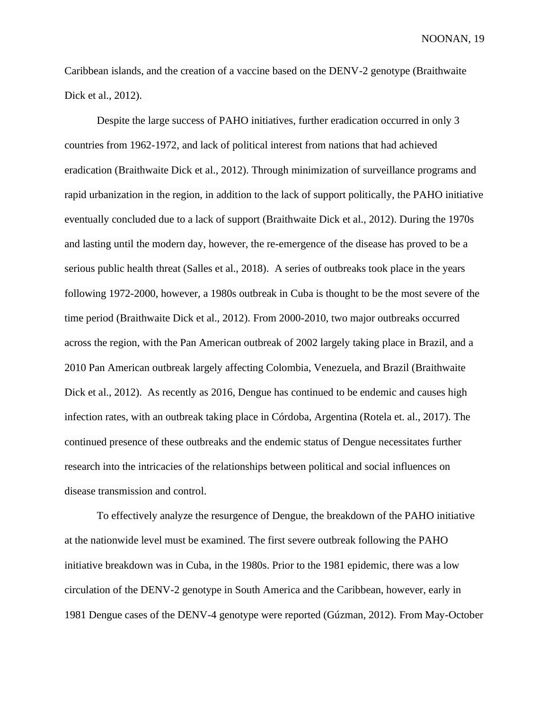Caribbean islands, and the creation of a vaccine based on the DENV-2 genotype (Braithwaite Dick et al., 2012).

Despite the large success of PAHO initiatives, further eradication occurred in only 3 countries from 1962-1972, and lack of political interest from nations that had achieved eradication (Braithwaite Dick et al., 2012). Through minimization of surveillance programs and rapid urbanization in the region, in addition to the lack of support politically, the PAHO initiative eventually concluded due to a lack of support (Braithwaite Dick et al., 2012). During the 1970s and lasting until the modern day, however, the re-emergence of the disease has proved to be a serious public health threat (Salles et al., 2018). A series of outbreaks took place in the years following 1972-2000, however, a 1980s outbreak in Cuba is thought to be the most severe of the time period (Braithwaite Dick et al., 2012). From 2000-2010, two major outbreaks occurred across the region, with the Pan American outbreak of 2002 largely taking place in Brazil, and a 2010 Pan American outbreak largely affecting Colombia, Venezuela, and Brazil (Braithwaite Dick et al., 2012). As recently as 2016, Dengue has continued to be endemic and causes high infection rates, with an outbreak taking place in Córdoba, Argentina (Rotela et. al., 2017). The continued presence of these outbreaks and the endemic status of Dengue necessitates further research into the intricacies of the relationships between political and social influences on disease transmission and control.

To effectively analyze the resurgence of Dengue, the breakdown of the PAHO initiative at the nationwide level must be examined. The first severe outbreak following the PAHO initiative breakdown was in Cuba, in the 1980s. Prior to the 1981 epidemic, there was a low circulation of the DENV-2 genotype in South America and the Caribbean, however, early in 1981 Dengue cases of the DENV-4 genotype were reported (Gúzman, 2012). From May-October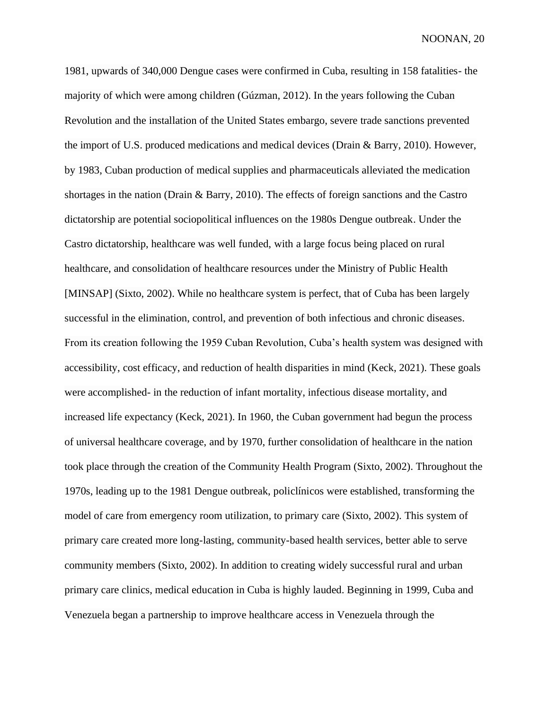1981, upwards of 340,000 Dengue cases were confirmed in Cuba, resulting in 158 fatalities- the majority of which were among children (Gúzman, 2012). In the years following the Cuban Revolution and the installation of the United States embargo, severe trade sanctions prevented the import of U.S. produced medications and medical devices (Drain & Barry, 2010). However, by 1983, Cuban production of medical supplies and pharmaceuticals alleviated the medication shortages in the nation (Drain & Barry, 2010). The effects of foreign sanctions and the Castro dictatorship are potential sociopolitical influences on the 1980s Dengue outbreak. Under the Castro dictatorship, healthcare was well funded, with a large focus being placed on rural healthcare, and consolidation of healthcare resources under the Ministry of Public Health [MINSAP] (Sixto, 2002). While no healthcare system is perfect, that of Cuba has been largely successful in the elimination, control, and prevention of both infectious and chronic diseases. From its creation following the 1959 Cuban Revolution, Cuba's health system was designed with accessibility, cost efficacy, and reduction of health disparities in mind (Keck, 2021). These goals were accomplished- in the reduction of infant mortality, infectious disease mortality, and increased life expectancy (Keck, 2021). In 1960, the Cuban government had begun the process of universal healthcare coverage, and by 1970, further consolidation of healthcare in the nation took place through the creation of the Community Health Program (Sixto, 2002). Throughout the 1970s, leading up to the 1981 Dengue outbreak, policlínicos were established, transforming the model of care from emergency room utilization, to primary care (Sixto, 2002). This system of primary care created more long-lasting, community-based health services, better able to serve community members (Sixto, 2002). In addition to creating widely successful rural and urban primary care clinics, medical education in Cuba is highly lauded. Beginning in 1999, Cuba and Venezuela began a partnership to improve healthcare access in Venezuela through the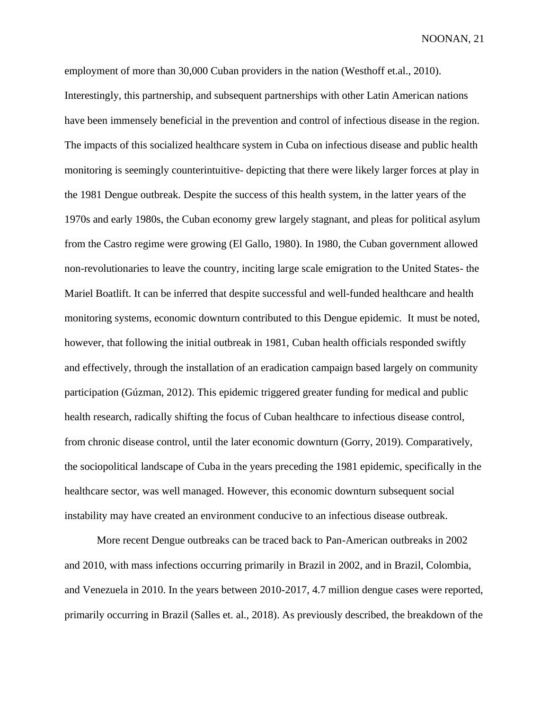employment of more than 30,000 Cuban providers in the nation (Westhoff et.al., 2010). Interestingly, this partnership, and subsequent partnerships with other Latin American nations have been immensely beneficial in the prevention and control of infectious disease in the region. The impacts of this socialized healthcare system in Cuba on infectious disease and public health monitoring is seemingly counterintuitive- depicting that there were likely larger forces at play in the 1981 Dengue outbreak. Despite the success of this health system, in the latter years of the 1970s and early 1980s, the Cuban economy grew largely stagnant, and pleas for political asylum from the Castro regime were growing (El Gallo, 1980). In 1980, the Cuban government allowed non-revolutionaries to leave the country, inciting large scale emigration to the United States- the Mariel Boatlift. It can be inferred that despite successful and well-funded healthcare and health monitoring systems, economic downturn contributed to this Dengue epidemic. It must be noted, however, that following the initial outbreak in 1981, Cuban health officials responded swiftly and effectively, through the installation of an eradication campaign based largely on community participation (Gúzman, 2012). This epidemic triggered greater funding for medical and public health research, radically shifting the focus of Cuban healthcare to infectious disease control, from chronic disease control, until the later economic downturn (Gorry, 2019). Comparatively, the sociopolitical landscape of Cuba in the years preceding the 1981 epidemic, specifically in the healthcare sector, was well managed. However, this economic downturn subsequent social instability may have created an environment conducive to an infectious disease outbreak.

More recent Dengue outbreaks can be traced back to Pan-American outbreaks in 2002 and 2010, with mass infections occurring primarily in Brazil in 2002, and in Brazil, Colombia, and Venezuela in 2010. In the years between 2010-2017, 4.7 million dengue cases were reported, primarily occurring in Brazil (Salles et. al., 2018). As previously described, the breakdown of the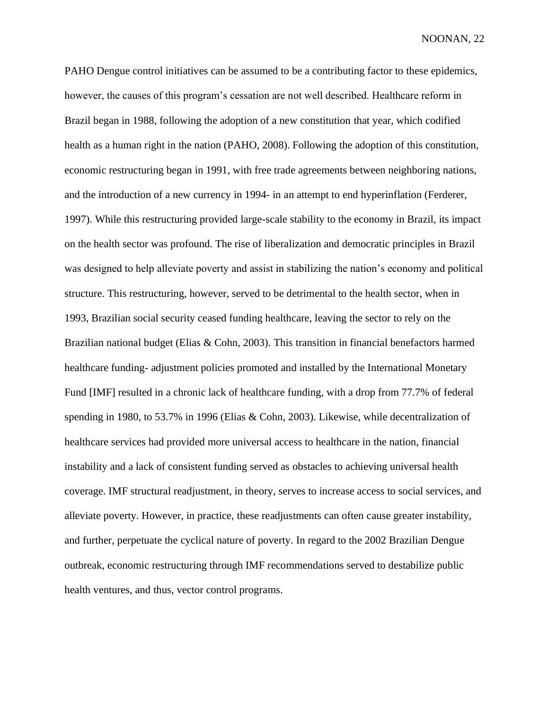PAHO Dengue control initiatives can be assumed to be a contributing factor to these epidemics, however, the causes of this program's cessation are not well described. Healthcare reform in Brazil began in 1988, following the adoption of a new constitution that year, which codified health as a human right in the nation (PAHO, 2008). Following the adoption of this constitution, economic restructuring began in 1991, with free trade agreements between neighboring nations, and the introduction of a new currency in 1994- in an attempt to end hyperinflation (Ferderer, 1997). While this restructuring provided large-scale stability to the economy in Brazil, its impact on the health sector was profound. The rise of liberalization and democratic principles in Brazil was designed to help alleviate poverty and assist in stabilizing the nation's economy and political structure. This restructuring, however, served to be detrimental to the health sector, when in 1993, Brazilian social security ceased funding healthcare, leaving the sector to rely on the Brazilian national budget (Elias & Cohn, 2003). This transition in financial benefactors harmed healthcare funding- adjustment policies promoted and installed by the International Monetary Fund [IMF] resulted in a chronic lack of healthcare funding, with a drop from 77.7% of federal spending in 1980, to 53.7% in 1996 (Elias & Cohn, 2003). Likewise, while decentralization of healthcare services had provided more universal access to healthcare in the nation, financial instability and a lack of consistent funding served as obstacles to achieving universal health coverage. IMF structural readjustment, in theory, serves to increase access to social services, and alleviate poverty. However, in practice, these readjustments can often cause greater instability, and further, perpetuate the cyclical nature of poverty. In regard to the 2002 Brazilian Dengue outbreak, economic restructuring through IMF recommendations served to destabilize public health ventures, and thus, vector control programs.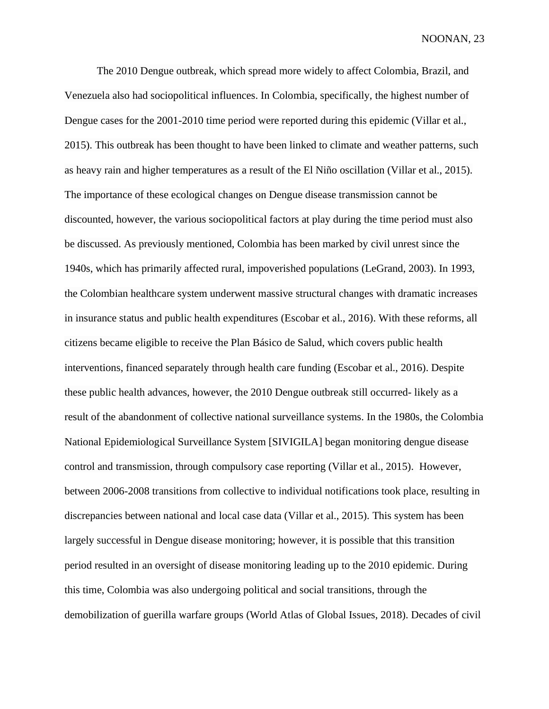The 2010 Dengue outbreak, which spread more widely to affect Colombia, Brazil, and Venezuela also had sociopolitical influences. In Colombia, specifically, the highest number of Dengue cases for the 2001-2010 time period were reported during this epidemic (Villar et al., 2015). This outbreak has been thought to have been linked to climate and weather patterns, such as heavy rain and higher temperatures as a result of the El Niño oscillation (Villar et al., 2015). The importance of these ecological changes on Dengue disease transmission cannot be discounted, however, the various sociopolitical factors at play during the time period must also be discussed. As previously mentioned, Colombia has been marked by civil unrest since the 1940s, which has primarily affected rural, impoverished populations (LeGrand, 2003). In 1993, the Colombian healthcare system underwent massive structural changes with dramatic increases in insurance status and public health expenditures (Escobar et al., 2016). With these reforms, all citizens became eligible to receive the Plan Básico de Salud, which covers public health interventions, financed separately through health care funding (Escobar et al., 2016). Despite these public health advances, however, the 2010 Dengue outbreak still occurred- likely as a result of the abandonment of collective national surveillance systems. In the 1980s, the Colombia National Epidemiological Surveillance System [SIVIGILA] began monitoring dengue disease control and transmission, through compulsory case reporting (Villar et al., 2015). However, between 2006-2008 transitions from collective to individual notifications took place, resulting in discrepancies between national and local case data (Villar et al., 2015). This system has been largely successful in Dengue disease monitoring; however, it is possible that this transition period resulted in an oversight of disease monitoring leading up to the 2010 epidemic. During this time, Colombia was also undergoing political and social transitions, through the demobilization of guerilla warfare groups (World Atlas of Global Issues, 2018). Decades of civil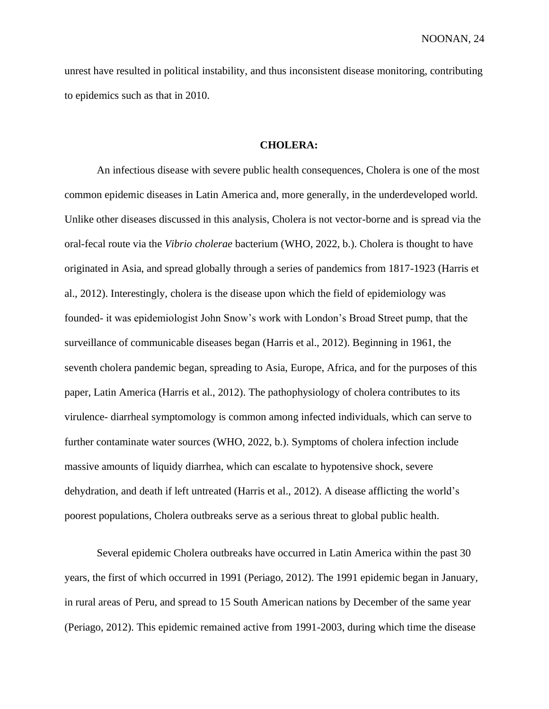unrest have resulted in political instability, and thus inconsistent disease monitoring, contributing to epidemics such as that in 2010.

### **CHOLERA:**

An infectious disease with severe public health consequences, Cholera is one of the most common epidemic diseases in Latin America and, more generally, in the underdeveloped world. Unlike other diseases discussed in this analysis, Cholera is not vector-borne and is spread via the oral-fecal route via the *Vibrio cholerae* bacterium (WHO, 2022, b.). Cholera is thought to have originated in Asia, and spread globally through a series of pandemics from 1817-1923 (Harris et al., 2012). Interestingly, cholera is the disease upon which the field of epidemiology was founded- it was epidemiologist John Snow's work with London's Broad Street pump, that the surveillance of communicable diseases began (Harris et al., 2012). Beginning in 1961, the seventh cholera pandemic began, spreading to Asia, Europe, Africa, and for the purposes of this paper, Latin America (Harris et al., 2012). The pathophysiology of cholera contributes to its virulence- diarrheal symptomology is common among infected individuals, which can serve to further contaminate water sources (WHO, 2022, b.). Symptoms of cholera infection include massive amounts of liquidy diarrhea, which can escalate to hypotensive shock, severe dehydration, and death if left untreated (Harris et al., 2012). A disease afflicting the world's poorest populations, Cholera outbreaks serve as a serious threat to global public health.

Several epidemic Cholera outbreaks have occurred in Latin America within the past 30 years, the first of which occurred in 1991 (Periago, 2012). The 1991 epidemic began in January, in rural areas of Peru, and spread to 15 South American nations by December of the same year (Periago, 2012). This epidemic remained active from 1991-2003, during which time the disease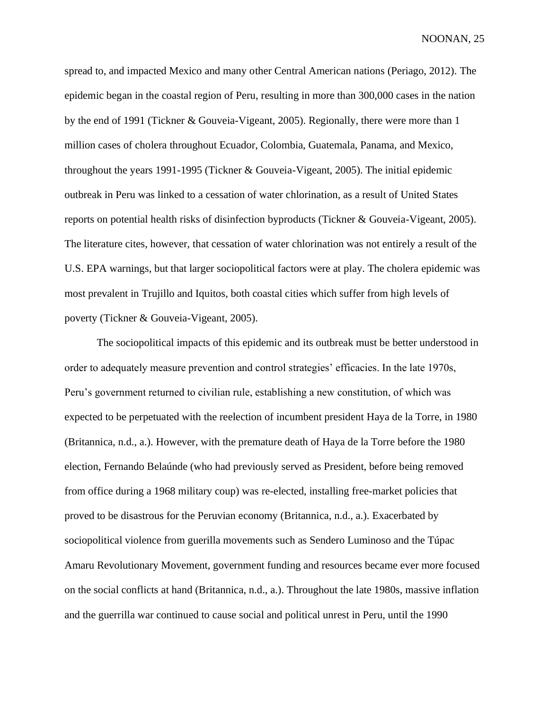spread to, and impacted Mexico and many other Central American nations (Periago, 2012). The epidemic began in the coastal region of Peru, resulting in more than 300,000 cases in the nation by the end of 1991 (Tickner & Gouveia-Vigeant, 2005). Regionally, there were more than 1 million cases of cholera throughout Ecuador, Colombia, Guatemala, Panama, and Mexico, throughout the years 1991-1995 (Tickner & Gouveia-Vigeant, 2005). The initial epidemic outbreak in Peru was linked to a cessation of water chlorination, as a result of United States reports on potential health risks of disinfection byproducts (Tickner & Gouveia-Vigeant, 2005). The literature cites, however, that cessation of water chlorination was not entirely a result of the U.S. EPA warnings, but that larger sociopolitical factors were at play. The cholera epidemic was most prevalent in Trujillo and Iquitos, both coastal cities which suffer from high levels of poverty (Tickner & Gouveia-Vigeant, 2005).

The sociopolitical impacts of this epidemic and its outbreak must be better understood in order to adequately measure prevention and control strategies' efficacies. In the late 1970s, Peru's government returned to civilian rule, establishing a new constitution, of which was expected to be perpetuated with the reelection of incumbent president Haya de la Torre, in 1980 (Britannica, n.d., a.). However, with the premature death of Haya de la Torre before the 1980 election, Fernando Belaúnde (who had previously served as President, before being removed from office during a 1968 military coup) was re-elected, installing free-market policies that proved to be disastrous for the Peruvian economy (Britannica, n.d., a.). Exacerbated by sociopolitical violence from guerilla movements such as Sendero Luminoso and the Túpac Amaru Revolutionary Movement, government funding and resources became ever more focused on the social conflicts at hand (Britannica, n.d., a.). Throughout the late 1980s, massive inflation and the guerrilla war continued to cause social and political unrest in Peru, until the 1990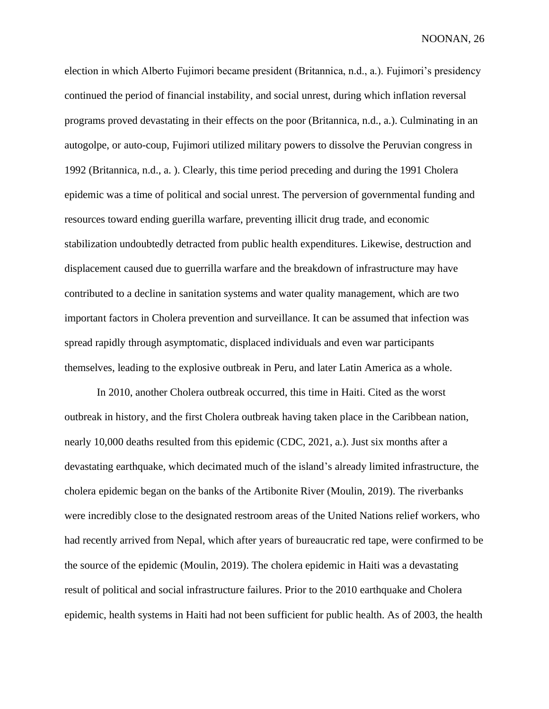election in which Alberto Fujimori became president (Britannica, n.d., a.). Fujimori's presidency continued the period of financial instability, and social unrest, during which inflation reversal programs proved devastating in their effects on the poor (Britannica, n.d., a.). Culminating in an autogolpe, or auto-coup, Fujimori utilized military powers to dissolve the Peruvian congress in 1992 (Britannica, n.d., a. ). Clearly, this time period preceding and during the 1991 Cholera epidemic was a time of political and social unrest. The perversion of governmental funding and resources toward ending guerilla warfare, preventing illicit drug trade, and economic stabilization undoubtedly detracted from public health expenditures. Likewise, destruction and displacement caused due to guerrilla warfare and the breakdown of infrastructure may have contributed to a decline in sanitation systems and water quality management, which are two important factors in Cholera prevention and surveillance. It can be assumed that infection was spread rapidly through asymptomatic, displaced individuals and even war participants themselves, leading to the explosive outbreak in Peru, and later Latin America as a whole.

In 2010, another Cholera outbreak occurred, this time in Haiti. Cited as the worst outbreak in history, and the first Cholera outbreak having taken place in the Caribbean nation, nearly 10,000 deaths resulted from this epidemic (CDC, 2021, a.). Just six months after a devastating earthquake, which decimated much of the island's already limited infrastructure, the cholera epidemic began on the banks of the Artibonite River (Moulin, 2019). The riverbanks were incredibly close to the designated restroom areas of the United Nations relief workers, who had recently arrived from Nepal, which after years of bureaucratic red tape, were confirmed to be the source of the epidemic (Moulin, 2019). The cholera epidemic in Haiti was a devastating result of political and social infrastructure failures. Prior to the 2010 earthquake and Cholera epidemic, health systems in Haiti had not been sufficient for public health. As of 2003, the health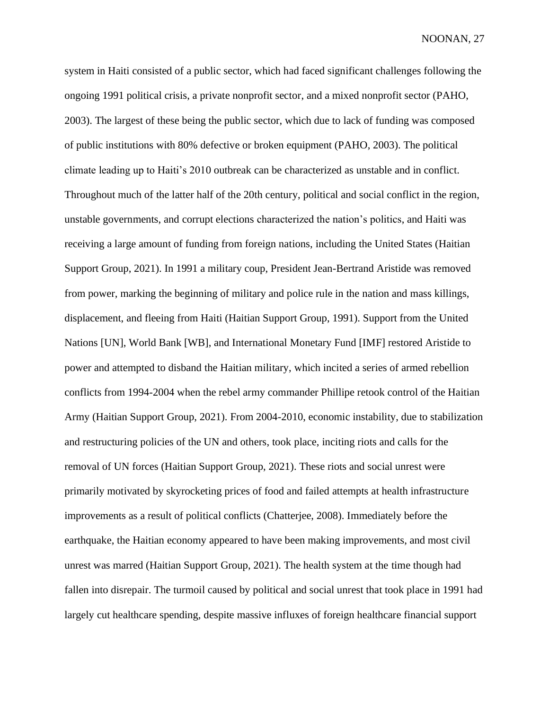system in Haiti consisted of a public sector, which had faced significant challenges following the ongoing 1991 political crisis, a private nonprofit sector, and a mixed nonprofit sector (PAHO, 2003). The largest of these being the public sector, which due to lack of funding was composed of public institutions with 80% defective or broken equipment (PAHO, 2003). The political climate leading up to Haiti's 2010 outbreak can be characterized as unstable and in conflict. Throughout much of the latter half of the 20th century, political and social conflict in the region, unstable governments, and corrupt elections characterized the nation's politics, and Haiti was receiving a large amount of funding from foreign nations, including the United States (Haitian Support Group, 2021). In 1991 a military coup, President Jean-Bertrand Aristide was removed from power, marking the beginning of military and police rule in the nation and mass killings, displacement, and fleeing from Haiti (Haitian Support Group, 1991). Support from the United Nations [UN], World Bank [WB], and International Monetary Fund [IMF] restored Aristide to power and attempted to disband the Haitian military, which incited a series of armed rebellion conflicts from 1994-2004 when the rebel army commander Phillipe retook control of the Haitian Army (Haitian Support Group, 2021). From 2004-2010, economic instability, due to stabilization and restructuring policies of the UN and others, took place, inciting riots and calls for the removal of UN forces (Haitian Support Group, 2021). These riots and social unrest were primarily motivated by skyrocketing prices of food and failed attempts at health infrastructure improvements as a result of political conflicts (Chatterjee, 2008). Immediately before the earthquake, the Haitian economy appeared to have been making improvements, and most civil unrest was marred (Haitian Support Group, 2021). The health system at the time though had fallen into disrepair. The turmoil caused by political and social unrest that took place in 1991 had largely cut healthcare spending, despite massive influxes of foreign healthcare financial support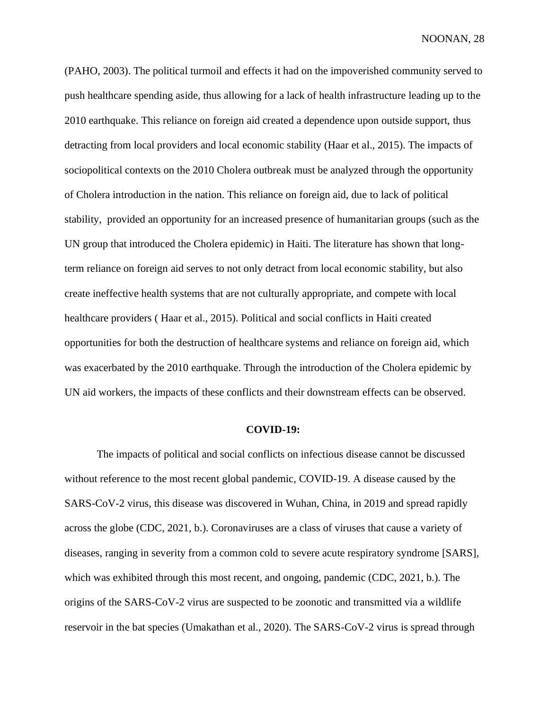(PAHO, 2003). The political turmoil and effects it had on the impoverished community served to push healthcare spending aside, thus allowing for a lack of health infrastructure leading up to the 2010 earthquake. This reliance on foreign aid created a dependence upon outside support, thus detracting from local providers and local economic stability (Haar et al., 2015). The impacts of sociopolitical contexts on the 2010 Cholera outbreak must be analyzed through the opportunity of Cholera introduction in the nation. This reliance on foreign aid, due to lack of political stability, provided an opportunity for an increased presence of humanitarian groups (such as the UN group that introduced the Cholera epidemic) in Haiti. The literature has shown that longterm reliance on foreign aid serves to not only detract from local economic stability, but also create ineffective health systems that are not culturally appropriate, and compete with local healthcare providers ( Haar et al., 2015). Political and social conflicts in Haiti created opportunities for both the destruction of healthcare systems and reliance on foreign aid, which was exacerbated by the 2010 earthquake. Through the introduction of the Cholera epidemic by UN aid workers, the impacts of these conflicts and their downstream effects can be observed.

## **COVID-19:**

The impacts of political and social conflicts on infectious disease cannot be discussed without reference to the most recent global pandemic, COVID-19. A disease caused by the SARS-CoV-2 virus, this disease was discovered in Wuhan, China, in 2019 and spread rapidly across the globe (CDC, 2021, b.). Coronaviruses are a class of viruses that cause a variety of diseases, ranging in severity from a common cold to severe acute respiratory syndrome [SARS], which was exhibited through this most recent, and ongoing, pandemic (CDC, 2021, b.). The origins of the SARS-CoV-2 virus are suspected to be zoonotic and transmitted via a wildlife reservoir in the bat species (Umakathan et al., 2020). The SARS-CoV-2 virus is spread through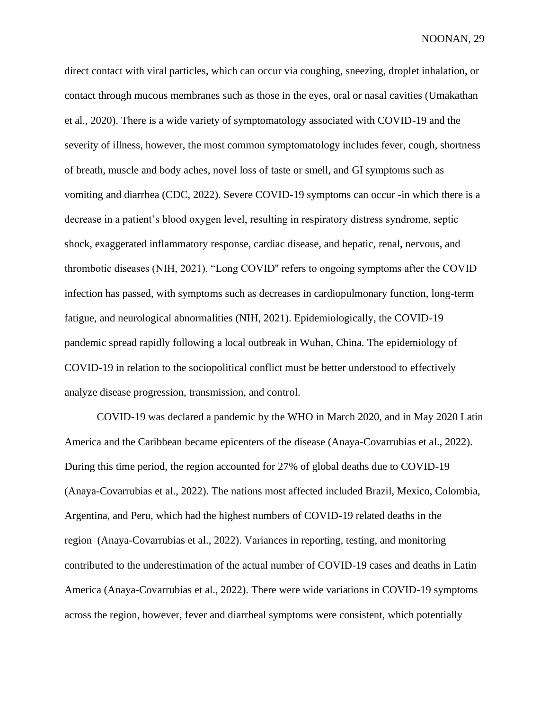direct contact with viral particles, which can occur via coughing, sneezing, droplet inhalation, or contact through mucous membranes such as those in the eyes, oral or nasal cavities (Umakathan et al., 2020). There is a wide variety of symptomatology associated with COVID-19 and the severity of illness, however, the most common symptomatology includes fever, cough, shortness of breath, muscle and body aches, novel loss of taste or smell, and GI symptoms such as vomiting and diarrhea (CDC, 2022). Severe COVID-19 symptoms can occur -in which there is a decrease in a patient's blood oxygen level, resulting in respiratory distress syndrome, septic shock, exaggerated inflammatory response, cardiac disease, and hepatic, renal, nervous, and thrombotic diseases (NIH, 2021). "Long COVID'' refers to ongoing symptoms after the COVID infection has passed, with symptoms such as decreases in cardiopulmonary function, long-term fatigue, and neurological abnormalities (NIH, 2021). Epidemiologically, the COVID-19 pandemic spread rapidly following a local outbreak in Wuhan, China. The epidemiology of COVID-19 in relation to the sociopolitical conflict must be better understood to effectively analyze disease progression, transmission, and control.

COVID-19 was declared a pandemic by the WHO in March 2020, and in May 2020 Latin America and the Caribbean became epicenters of the disease (Anaya-Covarrubias et al., 2022). During this time period, the region accounted for 27% of global deaths due to COVID-19 (Anaya-Covarrubias et al., 2022). The nations most affected included Brazil, Mexico, Colombia, Argentina, and Peru, which had the highest numbers of COVID-19 related deaths in the region (Anaya-Covarrubias et al., 2022). Variances in reporting, testing, and monitoring contributed to the underestimation of the actual number of COVID-19 cases and deaths in Latin America (Anaya-Covarrubias et al., 2022). There were wide variations in COVID-19 symptoms across the region, however, fever and diarrheal symptoms were consistent, which potentially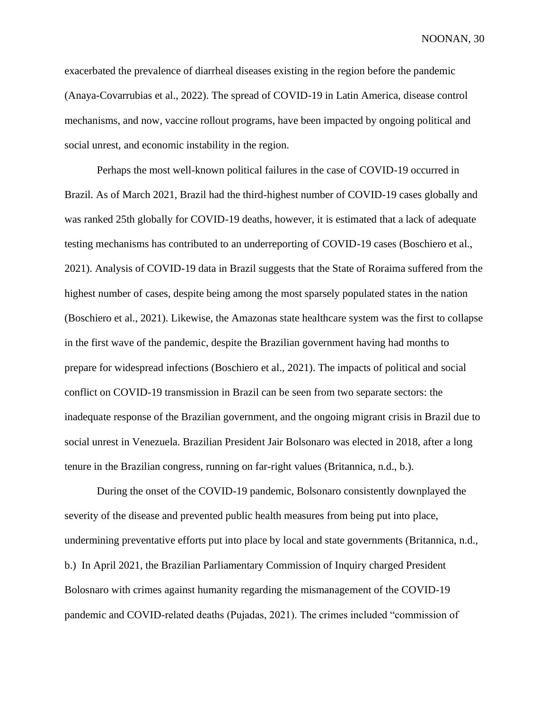exacerbated the prevalence of diarrheal diseases existing in the region before the pandemic (Anaya-Covarrubias et al., 2022). The spread of COVID-19 in Latin America, disease control mechanisms, and now, vaccine rollout programs, have been impacted by ongoing political and social unrest, and economic instability in the region.

Perhaps the most well-known political failures in the case of COVID-19 occurred in Brazil. As of March 2021, Brazil had the third-highest number of COVID-19 cases globally and was ranked 25th globally for COVID-19 deaths, however, it is estimated that a lack of adequate testing mechanisms has contributed to an underreporting of COVID-19 cases (Boschiero et al., 2021). Analysis of COVID-19 data in Brazil suggests that the State of Roraima suffered from the highest number of cases, despite being among the most sparsely populated states in the nation (Boschiero et al., 2021). Likewise, the Amazonas state healthcare system was the first to collapse in the first wave of the pandemic, despite the Brazilian government having had months to prepare for widespread infections (Boschiero et al., 2021). The impacts of political and social conflict on COVID-19 transmission in Brazil can be seen from two separate sectors: the inadequate response of the Brazilian government, and the ongoing migrant crisis in Brazil due to social unrest in Venezuela. Brazilian President Jair Bolsonaro was elected in 2018, after a long tenure in the Brazilian congress, running on far-right values (Britannica, n.d., b.).

During the onset of the COVID-19 pandemic, Bolsonaro consistently downplayed the severity of the disease and prevented public health measures from being put into place, undermining preventative efforts put into place by local and state governments (Britannica, n.d., b.) In April 2021, the Brazilian Parliamentary Commission of Inquiry charged President Bolosnaro with crimes against humanity regarding the mismanagement of the COVID-19 pandemic and COVID-related deaths (Pujadas, 2021). The crimes included "commission of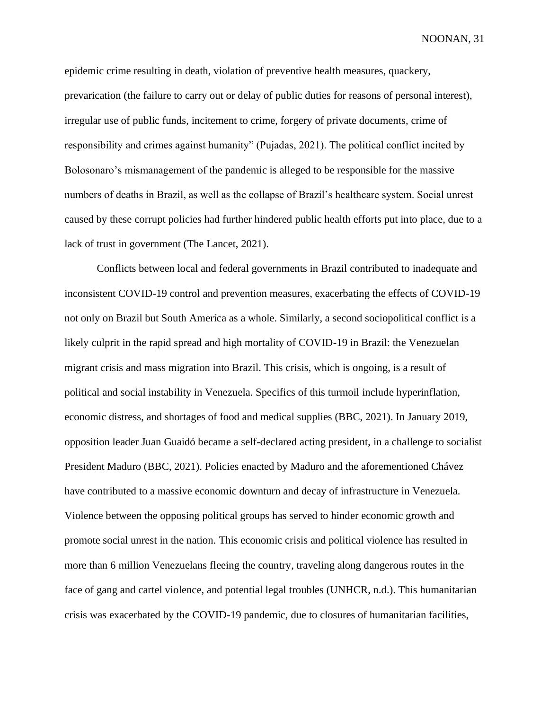epidemic crime resulting in death, violation of preventive health measures, quackery, prevarication (the failure to carry out or delay of public duties for reasons of personal interest), irregular use of public funds, incitement to crime, forgery of private documents, crime of responsibility and crimes against humanity" (Pujadas, 2021). The political conflict incited by Bolosonaro's mismanagement of the pandemic is alleged to be responsible for the massive numbers of deaths in Brazil, as well as the collapse of Brazil's healthcare system. Social unrest caused by these corrupt policies had further hindered public health efforts put into place, due to a lack of trust in government (The Lancet, 2021).

Conflicts between local and federal governments in Brazil contributed to inadequate and inconsistent COVID-19 control and prevention measures, exacerbating the effects of COVID-19 not only on Brazil but South America as a whole. Similarly, a second sociopolitical conflict is a likely culprit in the rapid spread and high mortality of COVID-19 in Brazil: the Venezuelan migrant crisis and mass migration into Brazil. This crisis, which is ongoing, is a result of political and social instability in Venezuela. Specifics of this turmoil include hyperinflation, economic distress, and shortages of food and medical supplies (BBC, 2021). In January 2019, opposition leader Juan Guaidó became a self-declared acting president, in a challenge to socialist President Maduro (BBC, 2021). Policies enacted by Maduro and the aforementioned Chávez have contributed to a massive economic downturn and decay of infrastructure in Venezuela. Violence between the opposing political groups has served to hinder economic growth and promote social unrest in the nation. This economic crisis and political violence has resulted in more than 6 million Venezuelans fleeing the country, traveling along dangerous routes in the face of gang and cartel violence, and potential legal troubles (UNHCR, n.d.). This humanitarian crisis was exacerbated by the COVID-19 pandemic, due to closures of humanitarian facilities,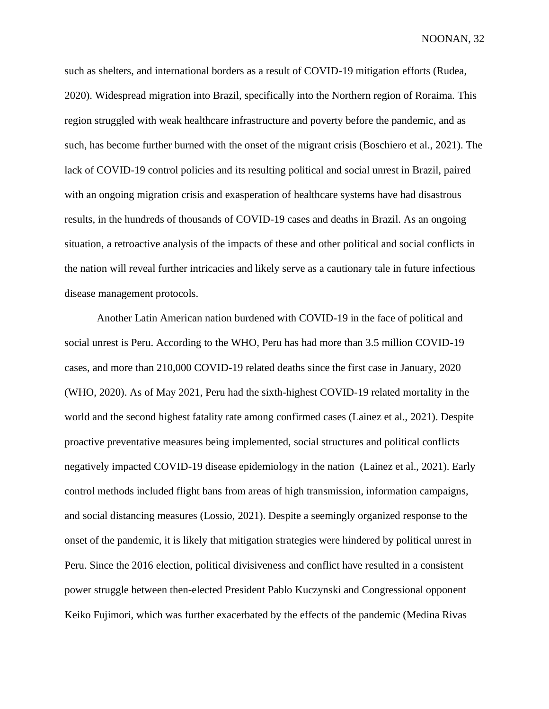such as shelters, and international borders as a result of COVID-19 mitigation efforts (Rudea, 2020). Widespread migration into Brazil, specifically into the Northern region of Roraima. This region struggled with weak healthcare infrastructure and poverty before the pandemic, and as such, has become further burned with the onset of the migrant crisis (Boschiero et al., 2021). The lack of COVID-19 control policies and its resulting political and social unrest in Brazil, paired with an ongoing migration crisis and exasperation of healthcare systems have had disastrous results, in the hundreds of thousands of COVID-19 cases and deaths in Brazil. As an ongoing situation, a retroactive analysis of the impacts of these and other political and social conflicts in the nation will reveal further intricacies and likely serve as a cautionary tale in future infectious disease management protocols.

Another Latin American nation burdened with COVID-19 in the face of political and social unrest is Peru. According to the WHO, Peru has had more than 3.5 million COVID-19 cases, and more than 210,000 COVID-19 related deaths since the first case in January, 2020 (WHO, 2020). As of May 2021, Peru had the sixth-highest COVID-19 related mortality in the world and the second highest fatality rate among confirmed cases (Lainez et al., 2021). Despite proactive preventative measures being implemented, social structures and political conflicts negatively impacted COVID-19 disease epidemiology in the nation (Lainez et al., 2021). Early control methods included flight bans from areas of high transmission, information campaigns, and social distancing measures (Lossio, 2021). Despite a seemingly organized response to the onset of the pandemic, it is likely that mitigation strategies were hindered by political unrest in Peru. Since the 2016 election, political divisiveness and conflict have resulted in a consistent power struggle between then-elected President Pablo Kuczynski and Congressional opponent Keiko Fujimori, which was further exacerbated by the effects of the pandemic (Medina Rivas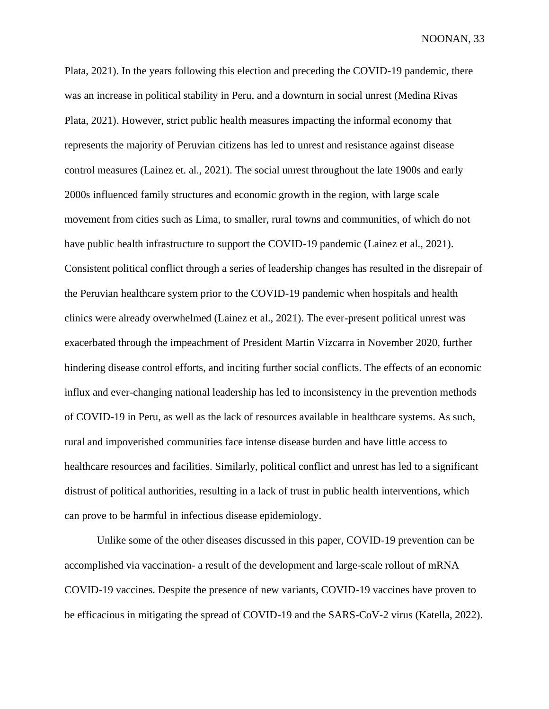Plata, 2021). In the years following this election and preceding the COVID-19 pandemic, there was an increase in political stability in Peru, and a downturn in social unrest (Medina Rivas Plata, 2021). However, strict public health measures impacting the informal economy that represents the majority of Peruvian citizens has led to unrest and resistance against disease control measures (Lainez et. al., 2021). The social unrest throughout the late 1900s and early 2000s influenced family structures and economic growth in the region, with large scale movement from cities such as Lima, to smaller, rural towns and communities, of which do not have public health infrastructure to support the COVID-19 pandemic (Lainez et al., 2021). Consistent political conflict through a series of leadership changes has resulted in the disrepair of the Peruvian healthcare system prior to the COVID-19 pandemic when hospitals and health clinics were already overwhelmed (Lainez et al., 2021). The ever-present political unrest was exacerbated through the impeachment of President Martin Vizcarra in November 2020, further hindering disease control efforts, and inciting further social conflicts. The effects of an economic influx and ever-changing national leadership has led to inconsistency in the prevention methods of COVID-19 in Peru, as well as the lack of resources available in healthcare systems. As such, rural and impoverished communities face intense disease burden and have little access to healthcare resources and facilities. Similarly, political conflict and unrest has led to a significant distrust of political authorities, resulting in a lack of trust in public health interventions, which can prove to be harmful in infectious disease epidemiology.

Unlike some of the other diseases discussed in this paper, COVID-19 prevention can be accomplished via vaccination- a result of the development and large-scale rollout of mRNA COVID-19 vaccines. Despite the presence of new variants, COVID-19 vaccines have proven to be efficacious in mitigating the spread of COVID-19 and the SARS-CoV-2 virus (Katella, 2022).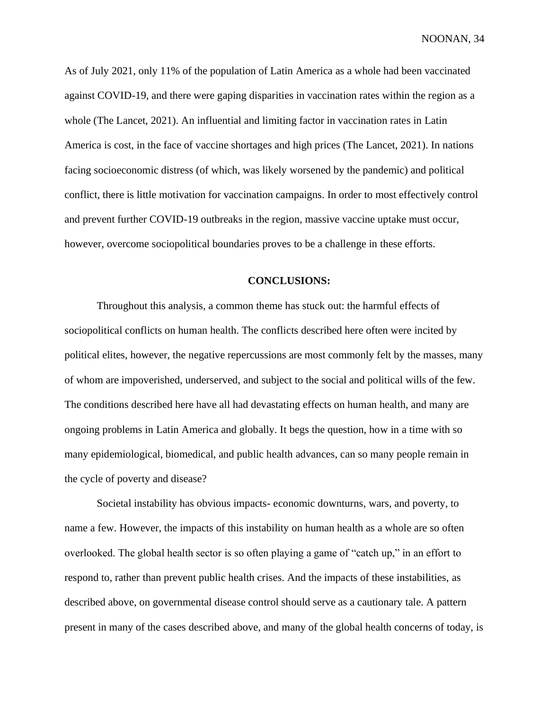As of July 2021, only 11% of the population of Latin America as a whole had been vaccinated against COVID-19, and there were gaping disparities in vaccination rates within the region as a whole (The Lancet, 2021). An influential and limiting factor in vaccination rates in Latin America is cost, in the face of vaccine shortages and high prices (The Lancet, 2021). In nations facing socioeconomic distress (of which, was likely worsened by the pandemic) and political conflict, there is little motivation for vaccination campaigns. In order to most effectively control and prevent further COVID-19 outbreaks in the region, massive vaccine uptake must occur, however, overcome sociopolitical boundaries proves to be a challenge in these efforts.

### **CONCLUSIONS:**

Throughout this analysis, a common theme has stuck out: the harmful effects of sociopolitical conflicts on human health. The conflicts described here often were incited by political elites, however, the negative repercussions are most commonly felt by the masses, many of whom are impoverished, underserved, and subject to the social and political wills of the few. The conditions described here have all had devastating effects on human health, and many are ongoing problems in Latin America and globally. It begs the question, how in a time with so many epidemiological, biomedical, and public health advances, can so many people remain in the cycle of poverty and disease?

Societal instability has obvious impacts- economic downturns, wars, and poverty, to name a few. However, the impacts of this instability on human health as a whole are so often overlooked. The global health sector is so often playing a game of "catch up," in an effort to respond to, rather than prevent public health crises. And the impacts of these instabilities, as described above, on governmental disease control should serve as a cautionary tale. A pattern present in many of the cases described above, and many of the global health concerns of today, is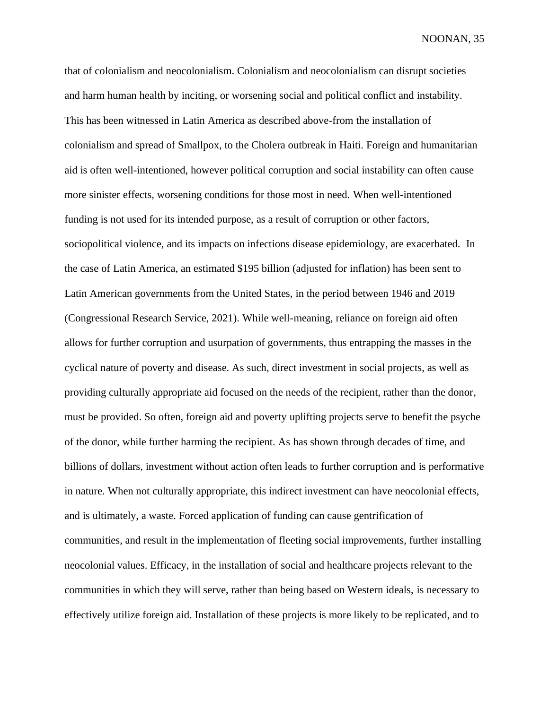that of colonialism and neocolonialism. Colonialism and neocolonialism can disrupt societies and harm human health by inciting, or worsening social and political conflict and instability. This has been witnessed in Latin America as described above-from the installation of colonialism and spread of Smallpox, to the Cholera outbreak in Haiti. Foreign and humanitarian aid is often well-intentioned, however political corruption and social instability can often cause more sinister effects, worsening conditions for those most in need. When well-intentioned funding is not used for its intended purpose, as a result of corruption or other factors, sociopolitical violence, and its impacts on infections disease epidemiology, are exacerbated. In the case of Latin America, an estimated \$195 billion (adjusted for inflation) has been sent to Latin American governments from the United States, in the period between 1946 and 2019 (Congressional Research Service, 2021). While well-meaning, reliance on foreign aid often allows for further corruption and usurpation of governments, thus entrapping the masses in the cyclical nature of poverty and disease. As such, direct investment in social projects, as well as providing culturally appropriate aid focused on the needs of the recipient, rather than the donor, must be provided. So often, foreign aid and poverty uplifting projects serve to benefit the psyche of the donor, while further harming the recipient. As has shown through decades of time, and billions of dollars, investment without action often leads to further corruption and is performative in nature. When not culturally appropriate, this indirect investment can have neocolonial effects, and is ultimately, a waste. Forced application of funding can cause gentrification of communities, and result in the implementation of fleeting social improvements, further installing neocolonial values. Efficacy, in the installation of social and healthcare projects relevant to the communities in which they will serve, rather than being based on Western ideals, is necessary to effectively utilize foreign aid. Installation of these projects is more likely to be replicated, and to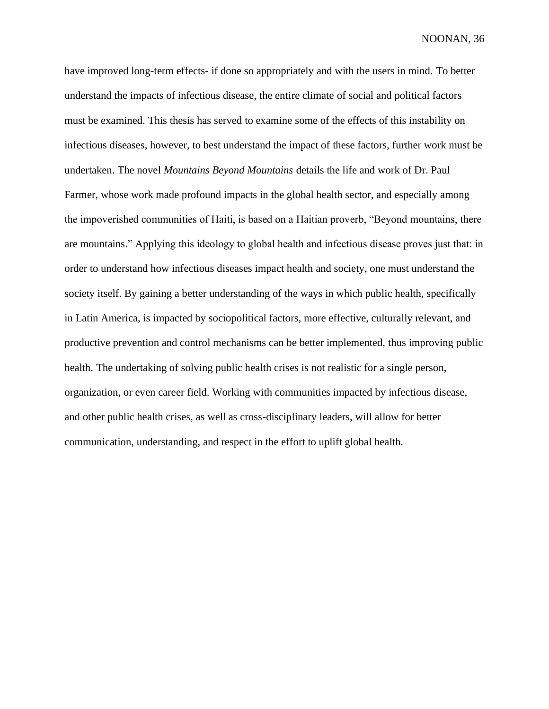have improved long-term effects- if done so appropriately and with the users in mind. To better understand the impacts of infectious disease, the entire climate of social and political factors must be examined. This thesis has served to examine some of the effects of this instability on infectious diseases, however, to best understand the impact of these factors, further work must be undertaken. The novel *Mountains Beyond Mountains* details the life and work of Dr. Paul Farmer, whose work made profound impacts in the global health sector, and especially among the impoverished communities of Haiti, is based on a Haitian proverb, "Beyond mountains, there are mountains." Applying this ideology to global health and infectious disease proves just that: in order to understand how infectious diseases impact health and society, one must understand the society itself. By gaining a better understanding of the ways in which public health, specifically in Latin America, is impacted by sociopolitical factors, more effective, culturally relevant, and productive prevention and control mechanisms can be better implemented, thus improving public health. The undertaking of solving public health crises is not realistic for a single person, organization, or even career field. Working with communities impacted by infectious disease, and other public health crises, as well as cross-disciplinary leaders, will allow for better communication, understanding, and respect in the effort to uplift global health.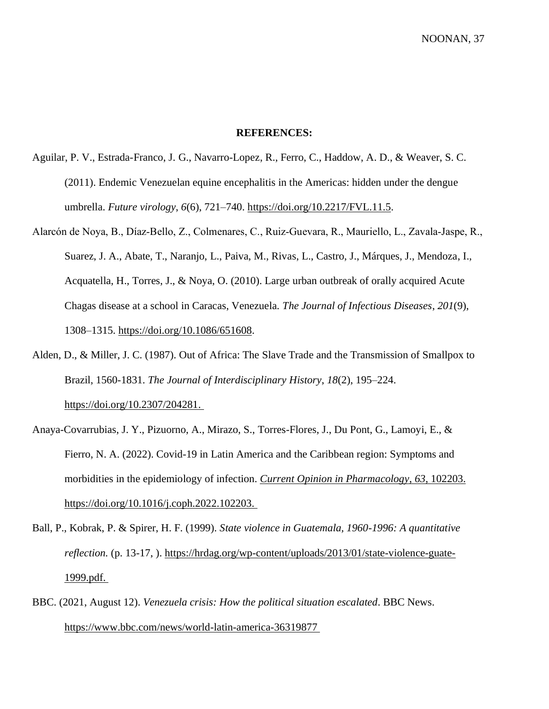# **REFERENCES:**

- Aguilar, P. V., Estrada-Franco, J. G., Navarro-Lopez, R., Ferro, C., Haddow, A. D., & Weaver, S. C. (2011). Endemic Venezuelan equine encephalitis in the Americas: hidden under the dengue umbrella. *Future virology*, *6*(6), 721–740. [https://doi.org/10.2217/FVL.11.5.](https://doi.org/10.2217/FVL.11.5)
- Alarcón de Noya, B., Díaz‐Bello, Z., Colmenares, C., Ruiz‐Guevara, R., Mauriello, L., Zavala‐Jaspe, R., Suarez, J. A., Abate, T., Naranjo, L., Paiva, M., Rivas, L., Castro, J., Márques, J., Mendoza, I., Acquatella, H., Torres, J., & Noya, O. (2010). Large urban outbreak of orally acquired Acute Chagas disease at a school in Caracas, Venezuela. *The Journal of Infectious Diseases*, *201*(9), 1308–1315. [https://doi.org/10.1086/651608.](https://doi.org/10.1086/651608)
- Alden, D., & Miller, J. C. (1987). Out of Africa: The Slave Trade and the Transmission of Smallpox to Brazil, 1560-1831. *The Journal of Interdisciplinary History*, *18*(2), 195–224[.](https://doi.org/10.2307/204281) [https://doi.org/10.2307/204281.](https://doi.org/10.2307/204281)
- Anaya-Covarrubias, J. Y., Pizuorno, A., Mirazo, S., Torres-Flores, J., Du Pont, G., Lamoyi, E., & Fierro, N. A. (2022). Covid-19 in Latin America and the Caribbean region: Symptoms and morbidities in the epidemiology of infection. *Current Opinion in Pharmacology*, *63*, 102203. [https://doi.org/10.1016/j.coph.2022.102203.](https://doi.org/10.1016/j.coph.2022.102203)
- Ball, P., Kobrak, P. & Spirer, H. F. (1999). *State violence in Guatemala, 1960-1996: A quantitative reflection.* (p. 13-17, ). [https://hrdag.org/wp-content/uploads/2013/01/state-violence-guate-](https://hrdag.org/wp-content/uploads/2013/01/state-violence-guate-1999.pdf)[1999.pdf.](https://hrdag.org/wp-content/uploads/2013/01/state-violence-guate-1999.pdf)
- BBC. (2021, August 12). *Venezuela crisis: How the political situation escalated*. BBC News. https://www.bbc.com/news/world-latin-america-36319877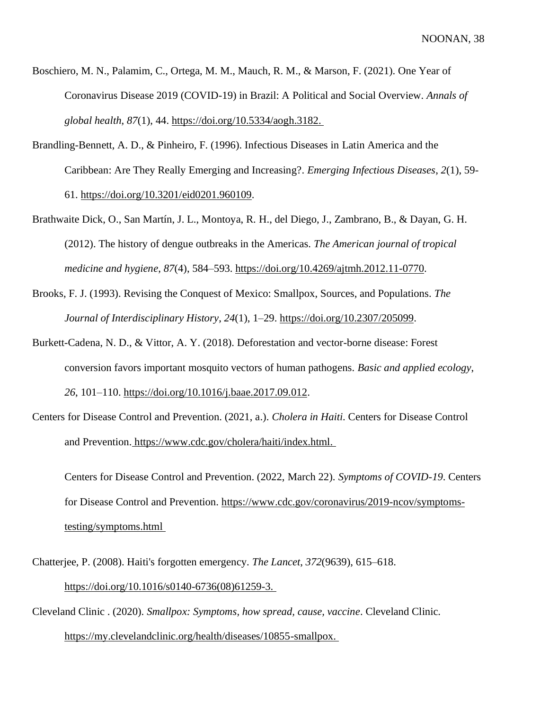- Boschiero, M. N., Palamim, C., Ortega, M. M., Mauch, R. M., & Marson, F. (2021). One Year of Coronavirus Disease 2019 (COVID-19) in Brazil: A Political and Social Overview. *Annals of global health*, *87*(1), 44. [https://doi.org/10.5334/aogh.3182.](https://doi.org/10.5334/aogh.3182)
- Brandling-Bennett, A. D., & Pinheiro, F. (1996). Infectious Diseases in Latin America and the Caribbean: Are They Really Emerging and Increasing?. *Emerging Infectious Diseases*, *2*(1), 59- 61. [https://doi.org/10.3201/eid0201.960109.](https://doi.org/10.3201/eid0201.960109)
- Brathwaite Dick, O., San Martín, J. L., Montoya, R. H., del Diego, J., Zambrano, B., & Dayan, G. H. (2012). The history of dengue outbreaks in the Americas. *The American journal of tropical medicine and hygiene*, *87*(4), 584–593. [https://doi.org/10.4269/ajtmh.2012.11-0770.](https://doi.org/10.4269/ajtmh.2012.11-0770)
- Brooks, F. J. (1993). Revising the Conquest of Mexico: Smallpox, Sources, and Populations. *The Journal of Interdisciplinary History*, *24*(1), 1–29. [https://doi.org/10.2307/205099.](https://doi.org/10.2307/205099)
- Burkett-Cadena, N. D., & Vittor, A. Y. (2018). Deforestation and vector-borne disease: Forest conversion favors important mosquito vectors of human pathogens. *Basic and applied ecology*, *26*, 101–110. [https://doi.org/10.1016/j.baae.2017.09.012.](https://doi.org/10.1016/j.baae.2017.09.012)
- Centers for Disease Control and Prevention. (2021, a.). *Cholera in Haiti*. Centers for Disease Control and Prevention. [https://www.cdc.gov/cholera/haiti/index.html.](https://www.cdc.gov/cholera/haiti/index.html)

Centers for Disease Control and Prevention. (2022, March 22). *Symptoms of COVID-19*. Centers for Disease Control and Prevention. https://www.cdc.gov/coronavirus/2019-ncov/symptomstesting/symptoms.html

- Chatterjee, P. (2008). Haiti's forgotten emergency. *The Lancet*, *372*(9639), 615–618. [https://doi.org/10.1016/s0140-6736\(08\)61259-3.](https://doi.org/10.1016/s0140-6736(08)61259-3)
- Cleveland Clinic . (2020). *Smallpox: Symptoms, how spread, cause, vaccine*. Cleveland Clinic[.](https://my.clevelandclinic.org/health/diseases/10855-smallpox) [https://my.clevelandclinic.org/health/diseases/10855-smallpox.](https://my.clevelandclinic.org/health/diseases/10855-smallpox)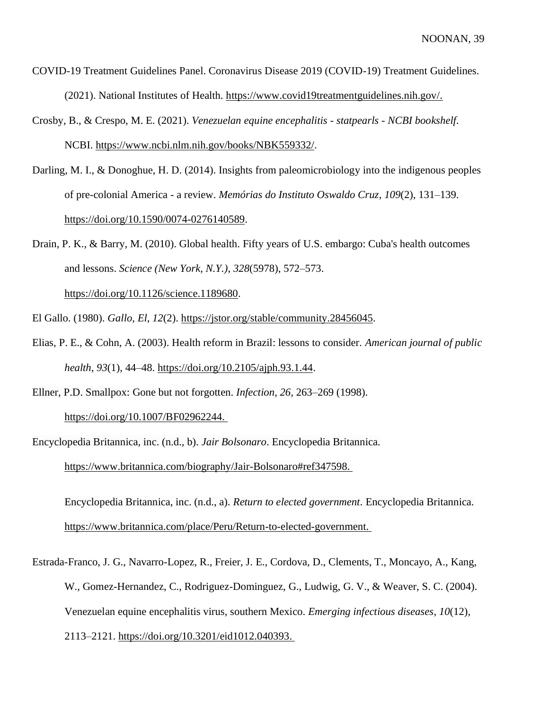- COVID-19 Treatment Guidelines Panel. Coronavirus Disease 2019 (COVID-19) Treatment Guidelines. (2021). National Institutes of Health. [https://www.covid19treatmentguidelines.nih.gov/.](https://www.covid19treatmentguidelines.nih.gov/)
- Crosby, B., & Crespo, M. E. (2021). *Venezuelan equine encephalitis - statpearls - NCBI bookshelf*. NCBI. [https://www.ncbi.nlm.nih.gov/books/NBK559332/.](https://www.ncbi.nlm.nih.gov/books/NBK559332/)
- Darling, M. I., & Donoghue, H. D. (2014). Insights from paleomicrobiology into the indigenous peoples of pre-colonial America - a review. *Memórias do Instituto Oswaldo Cruz*, *109*(2), 131–139[.](https://doi.org/10.1590/0074-0276140589) [https://doi.org/10.1590/0074-0276140589.](https://doi.org/10.1590/0074-0276140589)

Drain, P. K., & Barry, M. (2010). Global health. Fifty years of U.S. embargo: Cuba's health outcomes and lessons. *Science (New York, N.Y.)*, *328*(5978), 572–573.

[https://doi.org/10.1126/science.1189680.](https://doi.org/10.1126/science.1189680)

El Gallo. (1980). *Gallo, El*, *12*(2). [https://jstor.org/stable/community.28456045.](https://jstor.org/stable/community.28456045)

- Elias, P. E., & Cohn, A. (2003). Health reform in Brazil: lessons to consider. *American journal of public health*, *93*(1), 44–48. [https://doi.org/10.2105/ajph.93.1.44.](https://doi.org/10.2105/ajph.93.1.44)
- Ellner, P.D. Smallpox: Gone but not forgotten. *Infection*, *26,* 263–269 (1998)[.](https://doi.org/10.1007/BF02962244) [https://doi.org/10.1007/BF02962244.](https://doi.org/10.1007/BF02962244)

Encyclopedia Britannica, inc. (n.d., b). *Jair Bolsonaro*. Encyclopedia Britannica. [https://www.britannica.com/biography/Jair-Bolsonaro#ref347598.](https://www.britannica.com/biography/Jair-Bolsonaro#ref347598)

Encyclopedia Britannica, inc. (n.d., a). *Return to elected government*. Encyclopedia Britannica. [https://www.britannica.com/place/Peru/Return-to-elected-government.](https://www.britannica.com/place/Peru/Return-to-elected-government)

Estrada-Franco, J. G., Navarro-Lopez, R., Freier, J. E., Cordova, D., Clements, T., Moncayo, A., Kang, W., Gomez-Hernandez, C., Rodriguez-Dominguez, G., Ludwig, G. V., & Weaver, S. C. (2004). Venezuelan equine encephalitis virus, southern Mexico. *Emerging infectious diseases*, *10*(12), 2113–2121. [https://doi.org/10.3201/eid1012.040393.](https://doi.org/10.3201/eid1012.040393)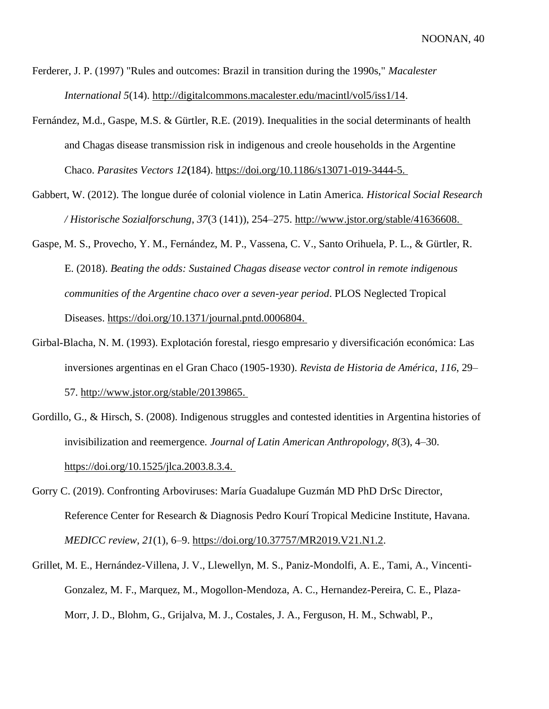Ferderer, J. P. (1997) "Rules and outcomes: Brazil in transition during the 1990s," *Macalester International 5*(14). [http://digitalcommons.macalester.edu/macintl/vol5/iss1/14.](http://digitalcommons.macalester.edu/macintl/vol5/iss1/14)

- Fernández, M.d., Gaspe, M.S. & Gürtler, R.E. (2019). Inequalities in the social determinants of health and Chagas disease transmission risk in indigenous and creole households in the Argentine Chaco. *Parasites Vectors 12***(**184). [https://doi.org/10.1186/s13071-019-3444-5.](https://doi.org/10.1186/s13071-019-3444-5)
- Gabbert, W. (2012). The longue durée of colonial violence in Latin America. *Historical Social Research / Historische Sozialforschung*, *37*(3 (141)), 254–275. [http://www.jstor.org/stable/41636608.](http://www.jstor.org/stable/41636608)
- Gaspe, M. S., Provecho, Y. M., Fernández, M. P., Vassena, C. V., Santo Orihuela, P. L., & Gürtler, R. E. (2018). *Beating the odds: Sustained Chagas disease vector control in remote indigenous communities of the Argentine chaco over a seven-year period*. PLOS Neglected Tropical Diseases. [https://doi.org/10.1371/journal.pntd.0006804.](https://doi.org/10.1371/journal.pntd.0006804)
- Girbal-Blacha, N. M. (1993). Explotación forestal, riesgo empresario y diversificación económica: Las inversiones argentinas en el Gran Chaco (1905-1930). *Revista de Historia de América*, *116*, 29– 57. [http://www.jstor.org/stable/20139865.](http://www.jstor.org/stable/20139865)
- Gordillo, G., & Hirsch, S. (2008). Indigenous struggles and contested identities in Argentina histories of invisibilization and reemergence. *Journal of Latin American Anthropology*, *8*(3), 4–30[.](https://doi.org/10.1525/jlca.2003.8.3.4) [https://doi.org/10.1525/jlca.2003.8.3.4.](https://doi.org/10.1525/jlca.2003.8.3.4)
- Gorry C. (2019). Confronting Arboviruses: María Guadalupe Guzmán MD PhD DrSc Director, Reference Center for Research & Diagnosis Pedro Kourí Tropical Medicine Institute, Havana. *MEDICC review*, *21*(1), 6–9. [https://doi.org/10.37757/MR2019.V21.N1.2.](https://doi.org/10.37757/MR2019.V21.N1.2)
- Grillet, M. E., Hernández-Villena, J. V., Llewellyn, M. S., Paniz-Mondolfi, A. E., Tami, A., Vincenti-Gonzalez, M. F., Marquez, M., Mogollon-Mendoza, A. C., Hernandez-Pereira, C. E., Plaza-Morr, J. D., Blohm, G., Grijalva, M. J., Costales, J. A., Ferguson, H. M., Schwabl, P.,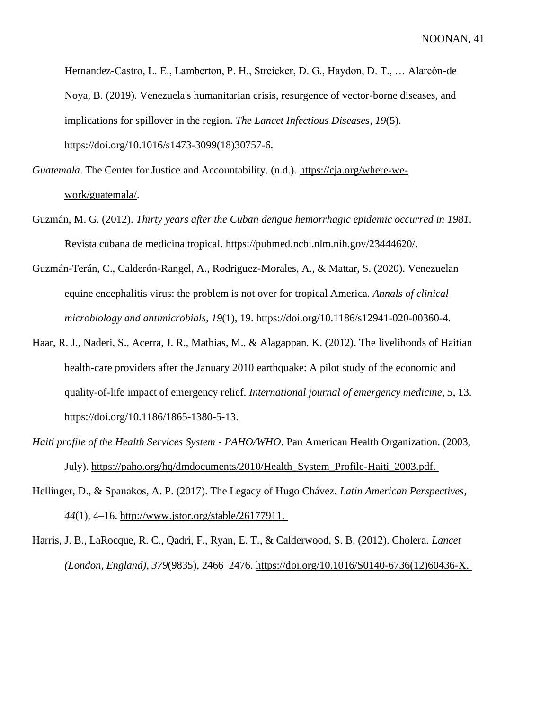Hernandez-Castro, L. E., Lamberton, P. H., Streicker, D. G., Haydon, D. T., … Alarcón-de Noya, B. (2019). Venezuela's humanitarian crisis, resurgence of vector-borne diseases, and implications for spillover in the region. *The Lancet Infectious Diseases*, *19*(5). [https://doi.org/10.1016/s1473-3099\(18\)30757-6.](https://doi.org/10.1016/s1473-3099(18)30757-6)

*Guatemala*. The Center for Justice and Accountability. (n.d.). [https://cja.org/where-we](https://cja.org/where-we-work/guatemala/)[work/guatemala/.](https://cja.org/where-we-work/guatemala/)

- Guzmán, M. G. (2012). *Thirty years after the Cuban dengue hemorrhagic epidemic occurred in 1981*. Revista cubana de medicina tropical. [https://pubmed.ncbi.nlm.nih.gov/23444620/.](https://pubmed.ncbi.nlm.nih.gov/23444620/)
- Guzmán-Terán, C., Calderón-Rangel, A., Rodriguez-Morales, A., & Mattar, S. (2020). Venezuelan equine encephalitis virus: the problem is not over for tropical America. *Annals of clinical microbiology and antimicrobials*, *19*(1), 19. [https://doi.org/10.1186/s12941-020-00360-4.](https://doi.org/10.1186/s12941-020-00360-4)
- Haar, R. J., Naderi, S., Acerra, J. R., Mathias, M., & Alagappan, K. (2012). The livelihoods of Haitian health-care providers after the January 2010 earthquake: A pilot study of the economic and quality-of-life impact of emergency relief. *International journal of emergency medicine*, *5*, 13. [https://doi.org/10.1186/1865-1380-5-13.](https://doi.org/10.1186/1865-1380-5-13)
- *Haiti profile of the Health Services System - PAHO/WHO*. Pan American Health Organization. (2003, July). [https://paho.org/hq/dmdocuments/2010/Health\\_System\\_Profile-Haiti\\_2003.pdf.](https://paho.org/hq/dmdocuments/2010/Health_System_Profile-Haiti_2003.pdf)
- Hellinger, D., & Spanakos, A. P. (2017). The Legacy of Hugo Chávez. *Latin American Perspectives*, *44*(1), 4–16. [http://www.jstor.org/stable/26177911.](http://www.jstor.org/stable/26177911)
- Harris, J. B., LaRocque, R. C., Qadri, F., Ryan, E. T., & Calderwood, S. B. (2012). Cholera. *Lancet (London, England)*, *379*(9835), 2466–2476. [https://doi.org/10.1016/S0140-6736\(12\)60436-X.](https://doi.org/10.1016/S0140-6736(12)60436-X)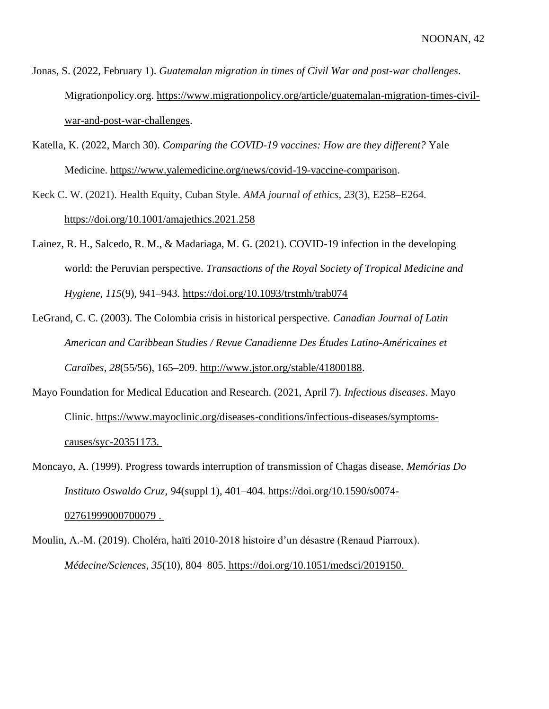Jonas, S. (2022, February 1). *Guatemalan migration in times of Civil War and post-war challenges*. Migrationpolicy.org. [https://www.migrationpolicy.org/article/guatemalan-migration-times-civil](https://www.migrationpolicy.org/article/guatemalan-migration-times-civil-war-and-post-war-challenges)[war-and-post-war-challenges.](https://www.migrationpolicy.org/article/guatemalan-migration-times-civil-war-and-post-war-challenges)

Katella, K. (2022, March 30). *Comparing the COVID-19 vaccines: How are they different?* Yale Medicine. [https://www.yalemedicine.org/news/covid-19-vaccine-comparison.](https://www.yalemedicine.org/news/covid-19-vaccine-comparison)

Keck C. W. (2021). Health Equity, Cuban Style. *AMA journal of ethics*, *23*(3), E258–E264. <https://doi.org/10.1001/amajethics.2021.258>

Lainez, R. H., Salcedo, R. M., & Madariaga, M. G. (2021). COVID-19 infection in the developing world: the Peruvian perspective. *Transactions of the Royal Society of Tropical Medicine and Hygiene*, *115*(9), 941–943.<https://doi.org/10.1093/trstmh/trab074>

LeGrand, C. C. (2003). The Colombia crisis in historical perspective. *Canadian Journal of Latin American and Caribbean Studies / Revue Canadienne Des Études Latino-Américaines et Caraïbes*, *28*(55/56), 165–209. [http://www.jstor.org/stable/41800188.](http://www.jstor.org/stable/41800188)

Mayo Foundation for Medical Education and Research. (2021, April 7). *Infectious diseases*. Mayo Clinic. [https://www.mayoclinic.org/diseases-conditions/infectious-diseases/symptoms](https://www.mayoclinic.org/diseases-conditions/infectious-diseases/symptoms-causes/syc-20351173)[causes/syc-20351173.](https://www.mayoclinic.org/diseases-conditions/infectious-diseases/symptoms-causes/syc-20351173)

Moncayo, A. (1999). Progress towards interruption of transmission of Chagas disease. *Memórias Do Instituto Oswaldo Cruz*, *94*(suppl 1), 401–404. [https://doi.org/10.1590/s0074-](https://doi.org/10.1590/s0074-02761999000700079) [02761999000700079](https://doi.org/10.1590/s0074-02761999000700079) .

Moulin, A.-M. (2019). Choléra, haïti 2010-2018 histoire d'un désastre (Renaud Piarroux). *Médecine/Sciences*, *35*(10), 804–805. [https://doi.org/10.1051/medsci/2019150.](https://doi.org/10.1051/medsci/2019150)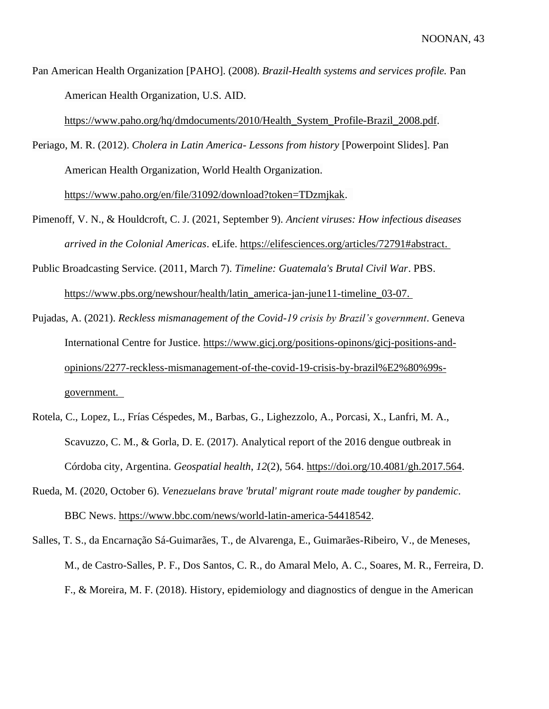Pan American Health Organization [PAHO]. (2008). *Brazil-Health systems and services profile.* Pan American Health Organization, U.S. AID.

[https://www.paho.org/hq/dmdocuments/2010/Health\\_System\\_Profile-Brazil\\_2008.pdf.](https://www.paho.org/hq/dmdocuments/2010/Health_System_Profile-Brazil_2008.pdf)

Periago, M. R. (2012). *Cholera in Latin America- Lessons from history* [Powerpoint Slides]. Pan American Health Organization, World Health Organization.

[https://www.paho.org/en/file/31092/download?token=TDzmjkak.](https://www.paho.org/en/file/31092/download?token=TDzmjkak)

- Pimenoff, V. N., & Houldcroft, C. J. (2021, September 9). *Ancient viruses: How infectious diseases arrived in the Colonial Americas*. eLife. [https://elifesciences.org/articles/72791#abstract.](https://elifesciences.org/articles/72791#abstract)
- Public Broadcasting Service. (2011, March 7). *Timeline: Guatemala's Brutal Civil War*. PBS. [https://www.pbs.org/newshour/health/latin\\_america-jan-june11-timeline\\_03-07.](https://www.pbs.org/newshour/health/latin_america-jan-june11-timeline_03-07)
- Pujadas, A. (2021). *Reckless mismanagement of the Covid-19 crisis by Brazil's government*. Geneva International Centre for Justice. https://www.gicj.org/positions-opinons/gicj-positions-andopinions/2277-reckless-mismanagement-of-the-covid-19-crisis-by-brazil%E2%80%99sgovernment.
- Rotela, C., Lopez, L., Frías Céspedes, M., Barbas, G., Lighezzolo, A., Porcasi, X., Lanfri, M. A., Scavuzzo, C. M., & Gorla, D. E. (2017). Analytical report of the 2016 dengue outbreak in Córdoba city, Argentina. *Geospatial health*, *12*(2), 564. [https://doi.org/10.4081/gh.2017.564.](https://doi.org/10.4081/gh.2017.564)
- Rueda, M. (2020, October 6). *Venezuelans brave 'brutal' migrant route made tougher by pandemic*. BBC News. [https://www.bbc.com/news/world-latin-america-54418542.](https://www.bbc.com/news/world-latin-america-54418542)
- Salles, T. S., da Encarnação Sá-Guimarães, T., de Alvarenga, E., Guimarães-Ribeiro, V., de Meneses, M., de Castro-Salles, P. F., Dos Santos, C. R., do Amaral Melo, A. C., Soares, M. R., Ferreira, D. F., & Moreira, M. F. (2018). History, epidemiology and diagnostics of dengue in the American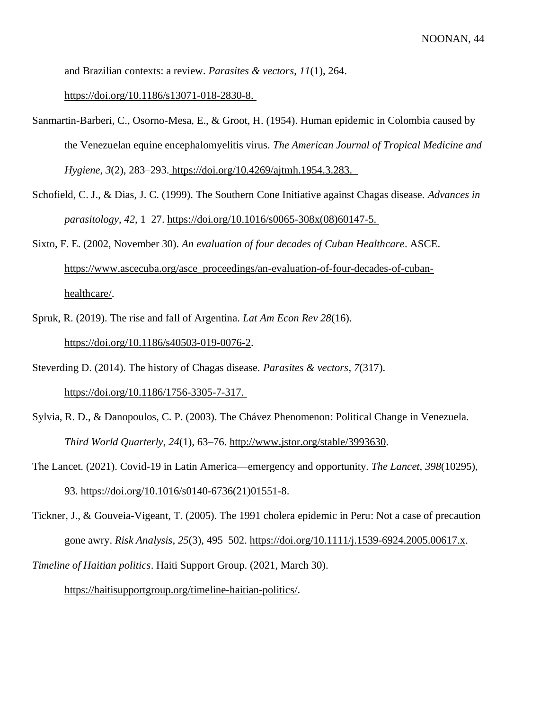and Brazilian contexts: a review. *Parasites & vectors*, *11*(1), 264[.](https://doi.org/10.1186/s13071-018-2830-8)

[https://doi.org/10.1186/s13071-018-2830-8.](https://doi.org/10.1186/s13071-018-2830-8)

- Sanmartin-Barberi, C., Osorno-Mesa, E., & Groot, H. (1954). Human epidemic in Colombia caused by the Venezuelan equine encephalomyelitis virus. *The American Journal of Tropical Medicine and Hygiene*, *3*(2), 283–293. [https://doi.org/10.4269/ajtmh.1954.3.283.](https://doi.org/10.4269/ajtmh.1954.3.283)
- Schofield, C. J., & Dias, J. C. (1999). The Southern Cone Initiative against Chagas disease. *Advances in parasitology*, *42*, 1–27. [https://doi.org/10.1016/s0065-308x\(08\)60147-5.](https://doi.org/10.1016/s0065-308x(08)60147-5)
- Sixto, F. E. (2002, November 30). *An evaluation of four decades of Cuban Healthcare*. ASCE. [https://www.ascecuba.org/asce\\_proceedings/an-evaluation-of-four-decades-of-cuban](https://www.ascecuba.org/asce_proceedings/an-evaluation-of-four-decades-of-cuban-healthcare/)[healthcare/.](https://www.ascecuba.org/asce_proceedings/an-evaluation-of-four-decades-of-cuban-healthcare/)
- Spruk, R. (2019). The rise and fall of Argentina. *Lat Am Econ Rev 28*(16). [https://doi.org/10.1186/s40503-019-0076-2.](https://doi.org/10.1186/s40503-019-0076-2)
- Steverding D. (2014). The history of Chagas disease. *Parasites & vectors*, *7*(317)[.](https://doi.org/10.1186/1756-3305-7-317) [https://doi.org/10.1186/1756-3305-7-317.](https://doi.org/10.1186/1756-3305-7-317)
- Sylvia, R. D., & Danopoulos, C. P. (2003). The Chávez Phenomenon: Political Change in Venezuela. *Third World Quarterly*, *24*(1), 63–76. [http://www.jstor.org/stable/3993630.](http://www.jstor.org/stable/3993630)
- The Lancet. (2021). Covid-19 in Latin America—emergency and opportunity. *The Lancet*, *398*(10295), 93. [https://doi.org/10.1016/s0140-6736\(21\)01551-8.](https://doi.org/10.1016/s0140-6736(21)01551-8)
- Tickner, J., & Gouveia-Vigeant, T. (2005). The 1991 cholera epidemic in Peru: Not a case of precaution gone awry. *Risk Analysis*, *25*(3), 495–502. [https://doi.org/10.1111/j.1539-6924.2005.00617.x.](https://doi.org/10.1111/j.1539-6924.2005.00617.x)
- *Timeline of Haitian politics*. Haiti Support Group. (2021, March 30).

[https://haitisupportgroup.org/timeline-haitian-politics/.](https://haitisupportgroup.org/timeline-haitian-politics/)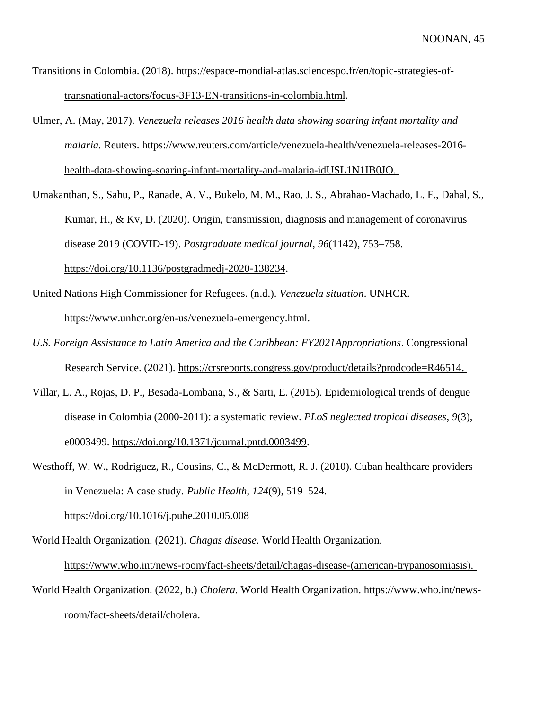- Transitions in Colombia. (2018). [https://espace-mondial-atlas.sciencespo.fr/en/topic-strategies-of](https://espace-mondial-atlas.sciencespo.fr/en/topic-strategies-of-transnational-actors/focus-3F13-EN-transitions-in-colombia.html)[transnational-actors/focus-3F13-EN-transitions-in-colombia.html.](https://espace-mondial-atlas.sciencespo.fr/en/topic-strategies-of-transnational-actors/focus-3F13-EN-transitions-in-colombia.html)
- Ulmer, A. (May, 2017). *Venezuela releases 2016 health data showing soaring infant mortality and malaria.* Reuters. [https://www.reuters.com/article/venezuela-health/venezuela-releases-2016](https://www.reuters.com/article/venezuela-health/venezuela-releases-2016-health-data-showing-soaring-infant-mortality-and-malaria-idUSL1N1IB0JO) [health-data-showing-soaring-infant-mortality-and-malaria-idUSL1N1IB0JO.](https://www.reuters.com/article/venezuela-health/venezuela-releases-2016-health-data-showing-soaring-infant-mortality-and-malaria-idUSL1N1IB0JO)
- Umakanthan, S., Sahu, P., Ranade, A. V., Bukelo, M. M., Rao, J. S., Abrahao-Machado, L. F., Dahal, S., Kumar, H., & Kv, D. (2020). Origin, transmission, diagnosis and management of coronavirus disease 2019 (COVID-19). *Postgraduate medical journal*, *96*(1142), 753–758. [https://doi.org/10.1136/postgradmedj-2020-138234.](https://doi.org/10.1136/postgradmedj-2020-138234)
- United Nations High Commissioner for Refugees. (n.d.). *Venezuela situation*. UNHCR. [https://www.unhcr.org/en-us/venezuela-emergency.html.](https://www.unhcr.org/en-us/venezuela-emergency.html)
- *U.S. Foreign Assistance to Latin America and the Caribbean: FY2021Appropriations*. Congressional Research Service. (2021). [https://crsreports.congress.gov/product/details?prodcode=R46514.](https://crsreports.congress.gov/product/details?prodcode=R46514)
- Villar, L. A., Rojas, D. P., Besada-Lombana, S., & Sarti, E. (2015). Epidemiological trends of dengue disease in Colombia (2000-2011): a systematic review. *PLoS neglected tropical diseases*, *9*(3), e0003499. [https://doi.org/10.1371/journal.pntd.0003499.](https://doi.org/10.1371/journal.pntd.0003499)
- Westhoff, W. W., Rodriguez, R., Cousins, C., & McDermott, R. J. (2010). Cuban healthcare providers in Venezuela: A case study. *Public Health*, *124*(9), 519–524.

https://doi.org/10.1016/j.puhe.2010.05.008

World Health Organization. (2021). *Chagas disease*. World Health Organization[.](https://www.who.int/news-room/fact-sheets/detail/chagas-disease-(american-trypanosomiasis)) [https://www.who.int/news-room/fact-sheets/detail/chagas-disease-\(american-trypanosomiasis\).](https://www.who.int/news-room/fact-sheets/detail/chagas-disease-(american-trypanosomiasis)) World Health Organization. (2022, b.) *Cholera.* World Health Organization. [https://www.who.int/news](https://www.who.int/news-room/fact-sheets/detail/cholera)[room/fact-sheets/detail/cholera.](https://www.who.int/news-room/fact-sheets/detail/cholera)